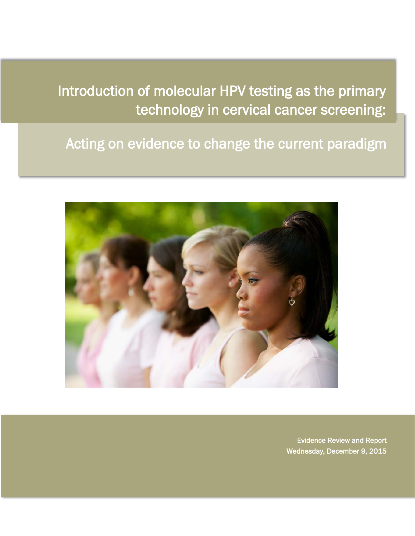Introduction of molecular HPV testing as the primary technology in cervical cancer screening:

Acting on evidence to change the current paradigm



Evidence Review and Report Wednesday, December 9, 2015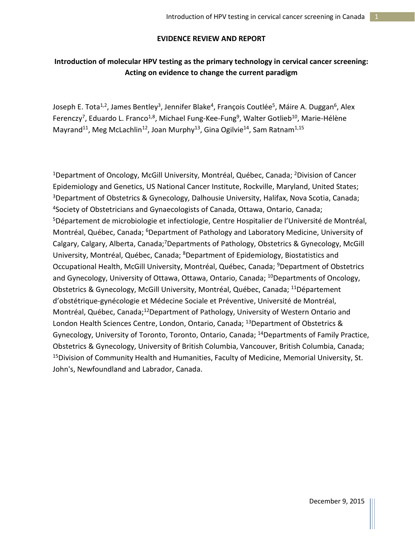### **EVIDENCE REVIEW AND REPORT**

# **Introduction of molecular HPV testing as the primary technology in cervical cancer screening: Acting on evidence to change the current paradigm**

Joseph E. Tota<sup>1,2</sup>, James Bentley<sup>3</sup>, Jennifer Blake<sup>4</sup>, François Coutlée<sup>5</sup>, Máire A. Duggan<sup>6</sup>, Alex Ferenczy<sup>7</sup>, Eduardo L. Franco<sup>1,8</sup>, Michael Fung-Kee-Fung<sup>9</sup>, Walter Gotlieb<sup>10</sup>, Marie-Hélène Mayrand<sup>11</sup>, Meg McLachlin<sup>12</sup>, Joan Murphy<sup>13</sup>, Gina Ogilvie<sup>14</sup>, Sam Ratnam<sup>1,15</sup>

<sup>1</sup>Department of Oncology, McGill University, Montréal, Québec, Canada; <sup>2</sup>Division of Cancer Epidemiology and Genetics, US National Cancer Institute, Rockville, Maryland, United States; 3Department of Obstetrics & Gynecology, Dalhousie University, Halifax, Nova Scotia, Canada; 4Society of Obstetricians and Gynaecologists of Canada, Ottawa, Ontario, Canada; <sup>5</sup>Département de microbiologie et infectiologie, Centre Hospitalier de l'Université de Montréal, Montréal, Québec, Canada; <sup>6</sup>Department of Pathology and Laboratory Medicine, University of Calgary, Calgary, Alberta, Canada;<sup>7</sup>Departments of Pathology, Obstetrics & Gynecology, McGill University, Montréal, Québec, Canada; <sup>8</sup>Department of Epidemiology, Biostatistics and Occupational Health, McGill University, Montréal, Québec, Canada; <sup>9</sup>Department of Obstetrics and Gynecology, University of Ottawa, Ottawa, Ontario, Canada; <sup>10</sup>Departments of Oncology, Obstetrics & Gynecology, McGill University, Montréal, Québec, Canada; 11Département d'obstétrique-gynécologie et Médecine Sociale et Préventive, Université de Montréal, Montréal, Québec, Canada;<sup>12</sup>Department of Pathology, University of Western Ontario and London Health Sciences Centre, London, Ontario, Canada; 13Department of Obstetrics & Gynecology, University of Toronto, Toronto, Ontario, Canada; 14Departments of Family Practice, Obstetrics & Gynecology, University of British Columbia, Vancouver, British Columbia, Canada; <sup>15</sup>Division of Community Health and Humanities, Faculty of Medicine, Memorial University, St. John's, Newfoundland and Labrador, Canada.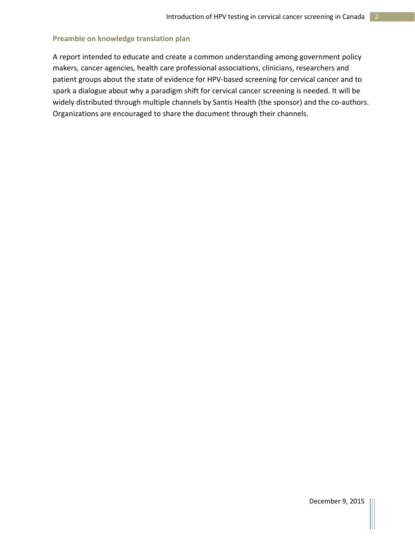### **Preamble on knowledge translation plan**

A report intended to educate and create a common understanding among government policy makers, cancer agencies, health care professional associations, clinicians, researchers and patient groups about the state of evidence for HPV-based screening for cervical cancer and to spark a dialogue about why a paradigm shift for cervical cancer screening is needed. It will be widely distributed through multiple channels by Santis Health (the sponsor) and the co-authors. Organizations are encouraged to share the document through their channels.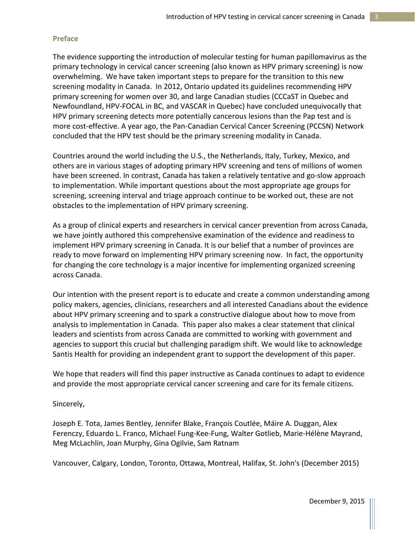#### **Preface**

The evidence supporting the introduction of molecular testing for human papillomavirus as the primary technology in cervical cancer screening (also known as HPV primary screening) is now overwhelming. We have taken important steps to prepare for the transition to this new screening modality in Canada. In 2012, Ontario updated its guidelines recommending HPV primary screening for women over 30, and large Canadian studies (CCCaST in Quebec and Newfoundland, HPV-FOCAL in BC, and VASCAR in Quebec) have concluded unequivocally that HPV primary screening detects more potentially cancerous lesions than the Pap test and is more cost-effective. A year ago, the Pan-Canadian Cervical Cancer Screening (PCCSN) Network concluded that the HPV test should be the primary screening modality in Canada.

Countries around the world including the U.S., the Netherlands, Italy, Turkey, Mexico, and others are in various stages of adopting primary HPV screening and tens of millions of women have been screened. In contrast, Canada has taken a relatively tentative and go-slow approach to implementation. While important questions about the most appropriate age groups for screening, screening interval and triage approach continue to be worked out, these are not obstacles to the implementation of HPV primary screening.

As a group of clinical experts and researchers in cervical cancer prevention from across Canada, we have jointly authored this comprehensive examination of the evidence and readiness to implement HPV primary screening in Canada. It is our belief that a number of provinces are ready to move forward on implementing HPV primary screening now. In fact, the opportunity for changing the core technology is a major incentive for implementing organized screening across Canada.

Our intention with the present report is to educate and create a common understanding among policy makers, agencies, clinicians, researchers and all interested Canadians about the evidence about HPV primary screening and to spark a constructive dialogue about how to move from analysis to implementation in Canada. This paper also makes a clear statement that clinical leaders and scientists from across Canada are committed to working with government and agencies to support this crucial but challenging paradigm shift. We would like to acknowledge Santis Health for providing an independent grant to support the development of this paper.

We hope that readers will find this paper instructive as Canada continues to adapt to evidence and provide the most appropriate cervical cancer screening and care for its female citizens.

Sincerely,

Joseph E. Tota, James Bentley, Jennifer Blake, François Coutlée, Máire A. Duggan, Alex Ferenczy, Eduardo L. Franco, Michael Fung-Kee-Fung, Walter Gotlieb, Marie-Hélène Mayrand, Meg McLachlin, Joan Murphy, Gina Ogilvie, Sam Ratnam

Vancouver, Calgary, London, Toronto, Ottawa, Montreal, Halifax, St. John's (December 2015)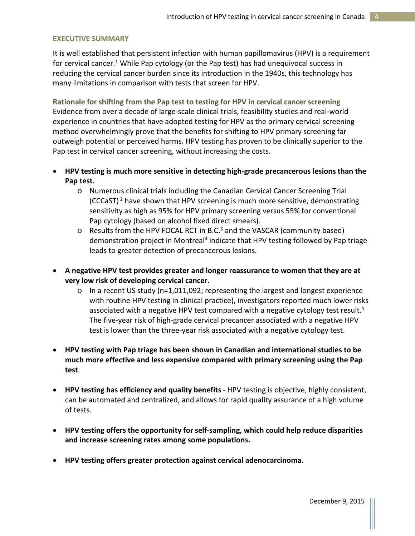#### **EXECUTIVE SUMMARY**

It is well established that persistent infection with human papillomavirus (HPV) is a requirement for cervical cancer.<sup>1</sup> While Pap cytology (or the Pap test) has had unequivocal success in reducing the cervical cancer burden since its introduction in the 1940s, this technology has many limitations in comparison with tests that screen for HPV.

**Rationale for shifting from the Pap test to testing for HPV in cervical cancer screening** Evidence from over a decade of large-scale clinical trials, feasibility studies and real-world experience in countries that have adopted testing for HPV as the primary cervical screening method overwhelmingly prove that the benefits for shifting to HPV primary screening far outweigh potential or perceived harms. HPV testing has proven to be clinically superior to the Pap test in cervical cancer screening, without increasing the costs.

- **HPV testing is much more sensitive in detecting high-grade precancerous lesions than the Pap test.**
	- o Numerous clinical trials including the Canadian Cervical Cancer Screening Trial (CCCaST)<sup>2</sup> have shown that HPV screening is much more sensitive, demonstrating sensitivity as high as 95% for HPV primary screening versus 55% for conventional Pap cytology (based on alcohol fixed direct smears).
	- $\circ$  Results from the HPV FOCAL RCT in B.C.<sup>3</sup> and the VASCAR (community based) demonstration project in Montreal<sup>4</sup> indicate that HPV testing followed by Pap triage leads to greater detection of precancerous lesions.
- **A negative HPV test provides greater and longer reassurance to women that they are at very low risk of developing cervical cancer.** 
	- $\circ$  In a recent US study (n=1,011,092; representing the largest and longest experience with routine HPV testing in clinical practice), investigators reported much lower risks associated with a negative HPV test compared with a negative cytology test result.<sup>5</sup> The five-year risk of high-grade cervical precancer associated with a negative HPV test is lower than the three-year risk associated with a negative cytology test.
- **HPV testing with Pap triage has been shown in Canadian and international studies to be much more effective and less expensive compared with primary screening using the Pap test**.
- **HPV testing has efficiency and quality benefits**  HPV testing is objective, highly consistent, can be automated and centralized, and allows for rapid quality assurance of a high volume of tests.
- **HPV testing offers the opportunity for self-sampling, which could help reduce disparities and increase screening rates among some populations.**
- **HPV testing offers greater protection against cervical adenocarcinoma.**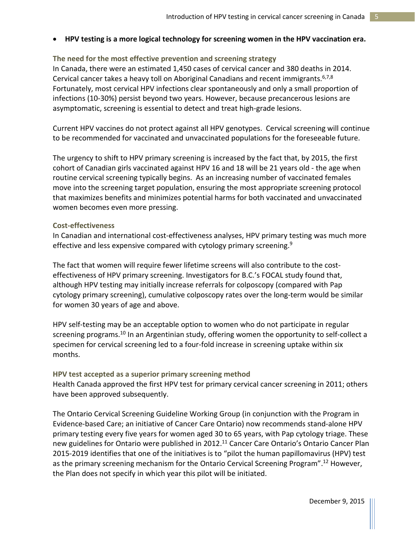### • **HPV testing is a more logical technology for screening women in the HPV vaccination era.**

**The need for the most effective prevention and screening strategy** In Canada, there were an estimated 1,450 cases of cervical cancer and 380 deaths in 2014. Cervical cancer takes a heavy toll on Aboriginal Canadians and recent immigrants.<sup>6,7,8</sup> Fortunately, most cervical HPV infections clear spontaneously and only a small proportion of infections (10-30%) persist beyond two years. However, because precancerous lesions are asymptomatic, screening is essential to detect and treat high-grade lesions.

Current HPV vaccines do not protect against all HPV genotypes. Cervical screening will continue to be recommended for vaccinated and unvaccinated populations for the foreseeable future.

The urgency to shift to HPV primary screening is increased by the fact that, by 2015, the first cohort of Canadian girls vaccinated against HPV 16 and 18 will be 21 years old - the age when routine cervical screening typically begins. As an increasing number of vaccinated females move into the screening target population, ensuring the most appropriate screening protocol that maximizes benefits and minimizes potential harms for both vaccinated and unvaccinated women becomes even more pressing.

#### **Cost-effectiveness**

In Canadian and international cost-effectiveness analyses, HPV primary testing was much more effective and less expensive compared with cytology primary screening.<sup>9</sup>

The fact that women will require fewer lifetime screens will also contribute to the costeffectiveness of HPV primary screening. Investigators for B.C.'s FOCAL study found that, although HPV testing may initially increase referrals for colposcopy (compared with Pap cytology primary screening), cumulative colposcopy rates over the long-term would be similar for women 30 years of age and above.

HPV self-testing may be an acceptable option to women who do not participate in regular screening programs.<sup>10</sup> In an Argentinian study, offering women the opportunity to self-collect a specimen for cervical screening led to a four-fold increase in screening uptake within six months.

#### **HPV test accepted as a superior primary screening method**

Health Canada approved the first HPV test for primary cervical cancer screening in 2011; others have been approved subsequently.

The Ontario Cervical Screening Guideline Working Group (in conjunction with the Program in Evidence-based Care; an initiative of Cancer Care Ontario) now recommends stand-alone HPV primary testing every five years for women aged 30 to 65 years, with Pap cytology triage. These new guidelines for Ontario were published in 2012.<sup>11</sup> Cancer Care Ontario's Ontario Cancer Plan 2015-2019 identifies that one of the initiatives is to "pilot the human papillomavirus (HPV) test as the primary screening mechanism for the Ontario Cervical Screening Program".<sup>12</sup> However, the Plan does not specify in which year this pilot will be initiated.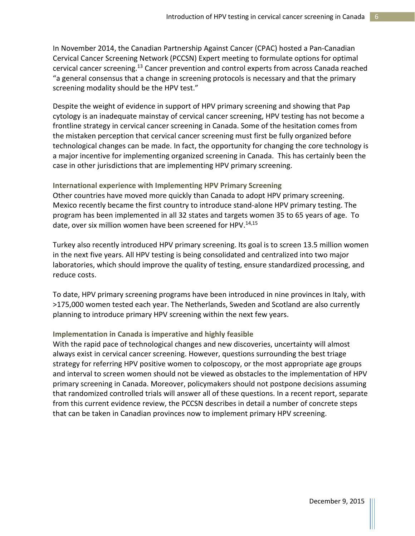In November 2014, the Canadian Partnership Against Cancer (CPAC) hosted a Pan-Canadian Cervical Cancer Screening Network (PCCSN) Expert meeting to formulate options for optimal cervical cancer screening.13 Cancer prevention and control experts from across Canada reached "a general consensus that a change in screening protocols is necessary and that the primary screening modality should be the HPV test."

Despite the weight of evidence in support of HPV primary screening and showing that Pap cytology is an inadequate mainstay of cervical cancer screening, HPV testing has not become a frontline strategy in cervical cancer screening in Canada. Some of the hesitation comes from the mistaken perception that cervical cancer screening must first be fully organized before technological changes can be made. In fact, the opportunity for changing the core technology is a major incentive for implementing organized screening in Canada. This has certainly been the case in other jurisdictions that are implementing HPV primary screening.

### **International experience with Implementing HPV Primary Screening**

Other countries have moved more quickly than Canada to adopt HPV primary screening. Mexico recently became the first country to introduce stand-alone HPV primary testing. The program has been implemented in all 32 states and targets women 35 to 65 years of age. To date, over six million women have been screened for HPV.<sup>14,15</sup>

Turkey also recently introduced HPV primary screening. Its goal is to screen 13.5 million women in the next five years. All HPV testing is being consolidated and centralized into two major laboratories, which should improve the quality of testing, ensure standardized processing, and reduce costs.

To date, HPV primary screening programs have been introduced in nine provinces in Italy, with >175,000 women tested each year. The Netherlands, Sweden and Scotland are also currently planning to introduce primary HPV screening within the next few years.

## **Implementation in Canada is imperative and highly feasible**

With the rapid pace of technological changes and new discoveries, uncertainty will almost always exist in cervical cancer screening. However, questions surrounding the best triage strategy for referring HPV positive women to colposcopy, or the most appropriate age groups and interval to screen women should not be viewed as obstacles to the implementation of HPV primary screening in Canada. Moreover, policymakers should not postpone decisions assuming that randomized controlled trials will answer all of these questions. In a recent report, separate from this current evidence review, the PCCSN describes in detail a number of concrete steps that can be taken in Canadian provinces now to implement primary HPV screening.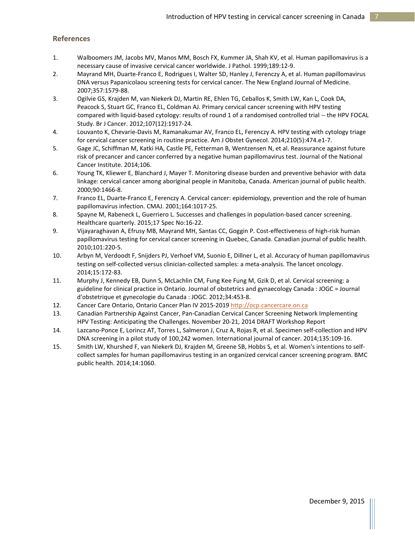#### **References**

- 1. Walboomers JM, Jacobs MV, Manos MM, Bosch FX, Kummer JA, Shah KV, et al. Human papillomavirus is a necessary cause of invasive cervical cancer worldwide. J Pathol. 1999;189:12-9.
- 2. Mayrand MH, Duarte-Franco E, Rodrigues I, Walter SD, Hanley J, Ferenczy A, et al. Human papillomavirus DNA versus Papanicolaou screening tests for cervical cancer. The New England Journal of Medicine. 2007;357:1579-88.
- 3. Ogilvie GS, Krajden M, van Niekerk DJ, Martin RE, Ehlen TG, Ceballos K, Smith LW, Kan L, Cook DA, Peacock S, Stuart GC, Franco EL, Coldman AJ. Primary cervical cancer screening with HPV testing compared with liquid-based cytology: results of round 1 of a randomised controlled trial -- the HPV FOCAL Study. Br J Cancer. 2012;107(12):1917-24.
- 4. Louvanto K, Chevarie-Davis M, Ramanakumar AV, Franco EL, Ferenczy A. HPV testing with cytology triage for cervical cancer screening in routine practice. Am J Obstet Gynecol. 2014;210(5):474.e1-7.
- 5. Gage JC, Schiffman M, Katki HA, Castle PE, Fetterman B, Wentzensen N, et al. Reassurance against future risk of precancer and cancer conferred by a negative human papillomavirus test. Journal of the National Cancer Institute. 2014;106.
- 6. Young TK, Kliewer E, Blanchard J, Mayer T. Monitoring disease burden and preventive behavior with data linkage: cervical cancer among aboriginal people in Manitoba, Canada. American journal of public health. 2000;90:1466-8.
- 7. Franco EL, Duarte-Franco E, Ferenczy A. Cervical cancer: epidemiology, prevention and the role of human papillomavirus infection. CMAJ. 2001;164:1017-25.
- 8. Spayne M, Rabeneck L, Guerriero L. Successes and challenges in population-based cancer screening. Healthcare quarterly. 2015;17 Spec No:16-22.
- 9. Vijayaraghavan A, Efrusy MB, Mayrand MH, Santas CC, Goggin P. Cost-effectiveness of high-risk human papillomavirus testing for cervical cancer screening in Quebec, Canada. Canadian journal of public health. 2010;101:220-5.
- 10. Arbyn M, Verdoodt F, Snijders PJ, Verhoef VM, Suonio E, Dillner L, et al. Accuracy of human papillomavirus testing on self-collected versus clinician-collected samples: a meta-analysis. The lancet oncology. 2014;15:172-83.
- 11. Murphy J, Kennedy EB, Dunn S, McLachlin CM, Fung Kee Fung M, Gzik D, et al. Cervical screening: a guideline for clinical practice in Ontario. Journal of obstetrics and gynaecology Canada : JOGC = Journal d'obstetrique et gynecologie du Canada : JOGC. 2012;34:453-8.
- 12. Cancer Care Ontario, Ontario Cancer Plan IV 2015-201[9 http://ocp.cancercare.on.ca](http://ocp.cancercare.on.ca/)
- 13. Canadian Partnership Against Cancer, Pan-Canadian Cervical Cancer Screening Network Implementing HPV Testing: Anticipating the Challenges. November 20-21, 2014 DRAFT Workshop Report
- 14. Lazcano-Ponce E, Lorincz AT, Torres L, Salmeron J, Cruz A, Rojas R, et al. Specimen self-collection and HPV DNA screening in a pilot study of 100,242 women. International journal of cancer. 2014;135:109-16.
- 15. Smith LW, Khurshed F, van Niekerk DJ, Krajden M, Greene SB, Hobbs S, et al. Women's intentions to selfcollect samples for human papillomavirus testing in an organized cervical cancer screening program. BMC public health. 2014;14:1060.

December 9, 2015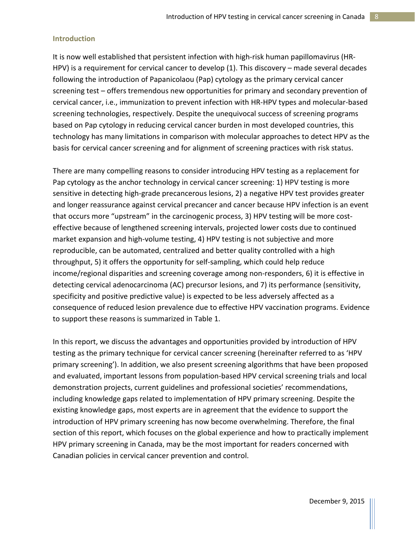### **Introduction**

It is now well established that persistent infection with high-risk human papillomavirus (HR-HPV) is a requirement for cervical cancer to develop (1). This discovery – made several decades following the introduction of Papanicolaou (Pap) cytology as the primary cervical cancer screening test – offers tremendous new opportunities for primary and secondary prevention of cervical cancer, i.e., immunization to prevent infection with HR-HPV types and molecular-based screening technologies, respectively. Despite the unequivocal success of screening programs based on Pap cytology in reducing cervical cancer burden in most developed countries, this technology has many limitations in comparison with molecular approaches to detect HPV as the basis for cervical cancer screening and for alignment of screening practices with risk status.

There are many compelling reasons to consider introducing HPV testing as a replacement for Pap cytology as the anchor technology in cervical cancer screening: 1) HPV testing is more sensitive in detecting high-grade precancerous lesions, 2) a negative HPV test provides greater and longer reassurance against cervical precancer and cancer because HPV infection is an event that occurs more "upstream" in the carcinogenic process, 3) HPV testing will be more costeffective because of lengthened screening intervals, projected lower costs due to continued market expansion and high-volume testing, 4) HPV testing is not subjective and more reproducible, can be automated, centralized and better quality controlled with a high throughput, 5) it offers the opportunity for self-sampling, which could help reduce income/regional disparities and screening coverage among non-responders, 6) it is effective in detecting cervical adenocarcinoma (AC) precursor lesions, and 7) its performance (sensitivity, specificity and positive predictive value) is expected to be less adversely affected as a consequence of reduced lesion prevalence due to effective HPV vaccination programs. Evidence to support these reasons is summarized in Table 1.

In this report, we discuss the advantages and opportunities provided by introduction of HPV testing as the primary technique for cervical cancer screening (hereinafter referred to as 'HPV primary screening'). In addition, we also present screening algorithms that have been proposed and evaluated, important lessons from population-based HPV cervical screening trials and local demonstration projects, current guidelines and professional societies' recommendations, including knowledge gaps related to implementation of HPV primary screening. Despite the existing knowledge gaps, most experts are in agreement that the evidence to support the introduction of HPV primary screening has now become overwhelming. Therefore, the final section of this report, which focuses on the global experience and how to practically implement HPV primary screening in Canada, may be the most important for readers concerned with Canadian policies in cervical cancer prevention and control.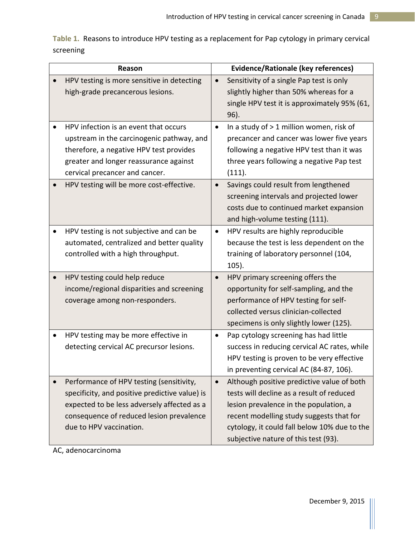**Table 1.** Reasons to introduce HPV testing as a replacement for Pap cytology in primary cervical screening

| Reason |                                                                                |           | <b>Evidence/Rationale (key references)</b>                                         |  |  |  |
|--------|--------------------------------------------------------------------------------|-----------|------------------------------------------------------------------------------------|--|--|--|
|        | HPV testing is more sensitive in detecting<br>high-grade precancerous lesions. | $\bullet$ | Sensitivity of a single Pap test is only<br>slightly higher than 50% whereas for a |  |  |  |
|        |                                                                                |           | single HPV test it is approximately 95% (61,<br>96).                               |  |  |  |
|        | HPV infection is an event that occurs                                          | $\bullet$ | In a study of > 1 million women, risk of                                           |  |  |  |
|        | upstream in the carcinogenic pathway, and                                      |           | precancer and cancer was lower five years                                          |  |  |  |
|        | therefore, a negative HPV test provides                                        |           | following a negative HPV test than it was                                          |  |  |  |
|        | greater and longer reassurance against                                         |           | three years following a negative Pap test                                          |  |  |  |
|        | cervical precancer and cancer.                                                 |           | (111).                                                                             |  |  |  |
|        | HPV testing will be more cost-effective.                                       |           | Savings could result from lengthened                                               |  |  |  |
|        |                                                                                |           | screening intervals and projected lower                                            |  |  |  |
|        |                                                                                |           | costs due to continued market expansion                                            |  |  |  |
|        |                                                                                |           | and high-volume testing (111).                                                     |  |  |  |
|        | HPV testing is not subjective and can be                                       | $\bullet$ | HPV results are highly reproducible                                                |  |  |  |
|        | automated, centralized and better quality                                      |           | because the test is less dependent on the                                          |  |  |  |
|        | controlled with a high throughput.                                             |           | training of laboratory personnel (104,                                             |  |  |  |
|        |                                                                                |           | 105).                                                                              |  |  |  |
|        | HPV testing could help reduce                                                  | $\bullet$ | HPV primary screening offers the                                                   |  |  |  |
|        | income/regional disparities and screening                                      |           | opportunity for self-sampling, and the                                             |  |  |  |
|        | coverage among non-responders.                                                 |           | performance of HPV testing for self-                                               |  |  |  |
|        |                                                                                |           | collected versus clinician-collected                                               |  |  |  |
|        |                                                                                |           | specimens is only slightly lower (125).                                            |  |  |  |
|        | HPV testing may be more effective in                                           | $\bullet$ | Pap cytology screening has had little                                              |  |  |  |
|        | detecting cervical AC precursor lesions.                                       |           | success in reducing cervical AC rates, while                                       |  |  |  |
|        |                                                                                |           | HPV testing is proven to be very effective                                         |  |  |  |
|        |                                                                                |           | in preventing cervical AC (84-87, 106).                                            |  |  |  |
|        | Performance of HPV testing (sensitivity,                                       | $\bullet$ | Although positive predictive value of both                                         |  |  |  |
|        | specificity, and positive predictive value) is                                 |           | tests will decline as a result of reduced                                          |  |  |  |
|        | expected to be less adversely affected as a                                    |           | lesion prevalence in the population, a                                             |  |  |  |
|        | consequence of reduced lesion prevalence                                       |           | recent modelling study suggests that for                                           |  |  |  |
|        | due to HPV vaccination.                                                        |           | cytology, it could fall below 10% due to the                                       |  |  |  |
|        |                                                                                |           | subjective nature of this test (93).                                               |  |  |  |

AC, adenocarcinoma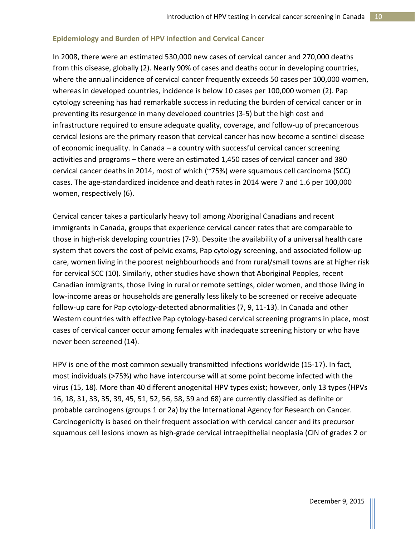### **Epidemiology and Burden of HPV infection and Cervical Cancer**

In 2008, there were an estimated 530,000 new cases of cervical cancer and 270,000 deaths from this disease, globally (2). Nearly 90% of cases and deaths occur in developing countries, where the annual incidence of cervical cancer frequently exceeds 50 cases per 100,000 women, whereas in developed countries, incidence is below 10 cases per 100,000 women (2). Pap cytology screening has had remarkable success in reducing the burden of cervical cancer or in preventing its resurgence in many developed countries (3-5) but the high cost and infrastructure required to ensure adequate quality, coverage, and follow-up of precancerous cervical lesions are the primary reason that cervical cancer has now become a sentinel disease of economic inequality. In Canada – a country with successful cervical cancer screening activities and programs – there were an estimated 1,450 cases of cervical cancer and 380 cervical cancer deaths in 2014, most of which (~75%) were squamous cell carcinoma (SCC) cases. The age-standardized incidence and death rates in 2014 were 7 and 1.6 per 100,000 women, respectively (6).

Cervical cancer takes a particularly heavy toll among Aboriginal Canadians and recent immigrants in Canada, groups that experience cervical cancer rates that are comparable to those in high-risk developing countries (7-9). Despite the availability of a universal health care system that covers the cost of pelvic exams, Pap cytology screening, and associated follow-up care, women living in the poorest neighbourhoods and from rural/small towns are at higher risk for cervical SCC (10). Similarly, other studies have shown that Aboriginal Peoples, recent Canadian immigrants, those living in rural or remote settings, older women, and those living in low-income areas or households are generally less likely to be screened or receive adequate follow-up care for Pap cytology-detected abnormalities (7, 9, 11-13). In Canada and other Western countries with effective Pap cytology-based cervical screening programs in place, most cases of cervical cancer occur among females with inadequate screening history or who have never been screened (14).

HPV is one of the most common sexually transmitted infections worldwide (15-17). In fact, most individuals (>75%) who have intercourse will at some point become infected with the virus (15, 18). More than 40 different anogenital HPV types exist; however, only 13 types (HPVs 16, 18, 31, 33, 35, 39, 45, 51, 52, 56, 58, 59 and 68) are currently classified as definite or probable carcinogens (groups 1 or 2a) by the International Agency for Research on Cancer. Carcinogenicity is based on their frequent association with cervical cancer and its precursor squamous cell lesions known as high-grade cervical intraepithelial neoplasia (CIN of grades 2 or

December 9, 2015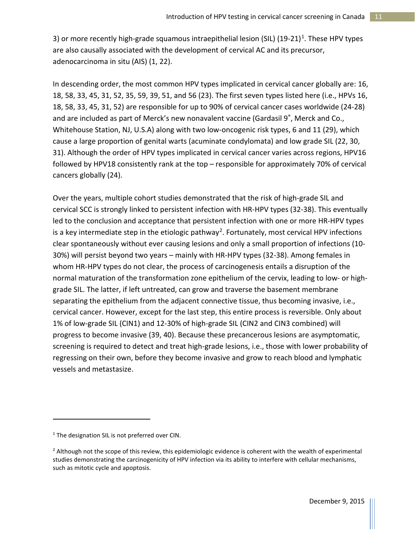3) or more recently high-grade squamous intraepithelial lesion (SIL)  $(19-21)^{1}$ . These HPV types are also causally associated with the development of cervical AC and its precursor, adenocarcinoma in situ (AIS) (1, 22).

In descending order, the most common HPV types implicated in cervical cancer globally are: 16, 18, 58, 33, 45, 31, 52, 35, 59, 39, 51, and 56 (23). The first seven types listed here (i.e., HPVs 16, 18, 58, 33, 45, 31, 52) are responsible for up to 90% of cervical cancer cases worldwide (24-28) and are included as part of Merck's new nonavalent vaccine (Gardasil 9<sup>°</sup>, Merck and Co., Whitehouse Station, NJ, U.S.A) along with two low-oncogenic risk types, 6 and 11 (29), which cause a large proportion of genital warts (acuminate condylomata) and low grade SIL (22, 30, 31). Although the order of HPV types implicated in cervical cancer varies across regions, HPV16 followed by HPV18 consistently rank at the top – responsible for approximately 70% of cervical cancers globally (24).

Over the years, multiple cohort studies demonstrated that the risk of high-grade SIL and cervical SCC is strongly linked to persistent infection with HR-HPV types (32-38). This eventually led to the conclusion and acceptance that persistent infection with one or more HR-HPV types is a key intermediate step in the etiologic pathway<sup>[2](#page-11-1)</sup>. Fortunately, most cervical HPV infections clear spontaneously without ever causing lesions and only a small proportion of infections (10- 30%) will persist beyond two years – mainly with HR-HPV types (32-38). Among females in whom HR-HPV types do not clear, the process of carcinogenesis entails a disruption of the normal maturation of the transformation zone epithelium of the cervix, leading to low- or highgrade SIL. The latter, if left untreated, can grow and traverse the basement membrane separating the epithelium from the adjacent connective tissue, thus becoming invasive, i.e., cervical cancer. However, except for the last step, this entire process is reversible. Only about 1% of low-grade SIL (CIN1) and 12-30% of high-grade SIL (CIN2 and CIN3 combined) will progress to become invasive (39, 40). Because these precancerous lesions are asymptomatic, screening is required to detect and treat high-grade lesions, i.e., those with lower probability of regressing on their own, before they become invasive and grow to reach blood and lymphatic vessels and metastasize.

l

<span id="page-11-0"></span> $1$ <sup>1</sup> The designation SIL is not preferred over CIN.

<span id="page-11-1"></span><sup>&</sup>lt;sup>2</sup> Although not the scope of this review, this epidemiologic evidence is coherent with the wealth of experimental studies demonstrating the carcinogenicity of HPV infection via its ability to interfere with cellular mechanisms, such as mitotic cycle and apoptosis.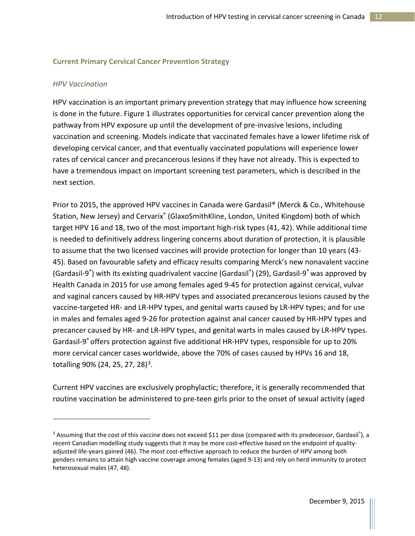### **Current Primary Cervical Cancer Prevention Strategy**

#### *HPV Vaccination*

l

HPV vaccination is an important primary prevention strategy that may influence how screening is done in the future. Figure 1 illustrates opportunities for cervical cancer prevention along the pathway from HPV exposure up until the development of pre-invasive lesions, including vaccination and screening. Models indicate that vaccinated females have a lower lifetime risk of developing cervical cancer, and that eventually vaccinated populations will experience lower rates of cervical cancer and precancerous lesions if they have not already. This is expected to have a tremendous impact on important screening test parameters, which is described in the next section.

Prior to 2015, the approved HPV vaccines in Canada were Gardasil® (Merck & Co., Whitehouse Station, New Jersey) and Cervarix<sup>®</sup> (GlaxoSmithKline, London, United Kingdom) both of which target HPV 16 and 18, two of the most important high-risk types (41, 42). While additional time is needed to definitively address lingering concerns about duration of protection, it is plausible to assume that the two licensed vaccines will provide protection for longer than 10 years (43- 45). Based on favourable safety and efficacy results comparing Merck's new nonavalent vaccine (Gardasil-9®) with its existing quadrivalent vaccine (Gardasil®) (29), Gardasil-9® was approved by Health Canada in 2015 for use among females aged 9-45 for protection against cervical, vulvar and vaginal cancers caused by HR-HPV types and associated precancerous lesions caused by the vaccine-targeted HR- and LR-HPV types, and genital warts caused by LR-HPV types; and for use in males and females aged 9-26 for protection against anal cancer caused by HR-HPV types and precancer caused by HR- and LR-HPV types, and genital warts in males caused by LR-HPV types. Gardasil-9® offers protection against five additional HR-HPV types, responsible for up to 20% more cervical cancer cases worldwide, above the 70% of cases caused by HPVs 16 and 18, totalling 90% (24, 25, 27, 28)<sup>[3](#page-12-0)</sup>.

Current HPV vaccines are exclusively prophylactic; therefore, it is generally recommended that routine vaccination be administered to pre-teen girls prior to the onset of sexual activity (aged

<span id="page-12-0"></span><sup>&</sup>lt;sup>3</sup> Assuming that the cost of this vaccine does not exceed \$11 per dose (compared with its predecessor, Gardasil<sup>®</sup>), a recent Canadian modelling study suggests that it may be more cost-effective based on the endpoint of qualityadjusted life-years gained (46). The most cost-effective approach to reduce the burden of HPV among both genders remains to attain high vaccine coverage among females (aged 9-13) and rely on herd immunity to protect heterosexual males (47, 48).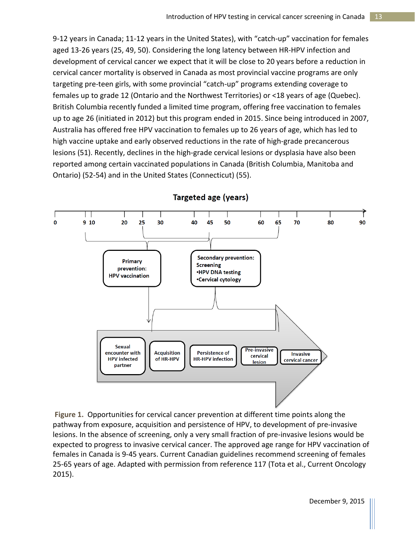9-12 years in Canada; 11-12 years in the United States), with "catch-up" vaccination for females aged 13-26 years (25, 49, 50). Considering the long latency between HR-HPV infection and development of cervical cancer we expect that it will be close to 20 years before a reduction in cervical cancer mortality is observed in Canada as most provincial vaccine programs are only targeting pre-teen girls, with some provincial "catch-up" programs extending coverage to females up to grade 12 (Ontario and the Northwest Territories) or <18 years of age (Quebec). British Columbia recently funded a limited time program, offering free vaccination to females up to age 26 (initiated in 2012) but this program ended in 2015. Since being introduced in 2007, Australia has offered free HPV vaccination to females up to 26 years of age, which has led to high vaccine uptake and early observed reductions in the rate of high-grade precancerous lesions (51). Recently, declines in the high-grade cervical lesions or dysplasia have also been reported among certain vaccinated populations in Canada (British Columbia, Manitoba and Ontario) (52-54) and in the United States (Connecticut) (55).



## Targeted age (years)

**Figure 1.** Opportunities for cervical cancer prevention at different time points along the pathway from exposure, acquisition and persistence of HPV, to development of pre-invasive lesions. In the absence of screening, only a very small fraction of pre-invasive lesions would be expected to progress to invasive cervical cancer. The approved age range for HPV vaccination of females in Canada is 9-45 years. Current Canadian guidelines recommend screening of females 25-65 years of age. Adapted with permission from reference 117 (Tota et al., Current Oncology 2015).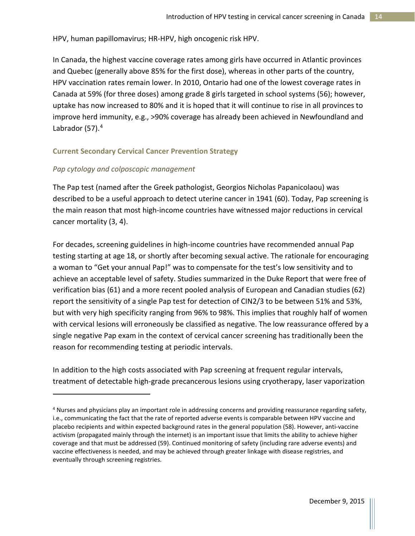HPV, human papillomavirus; HR-HPV, high oncogenic risk HPV.

In Canada, the highest vaccine coverage rates among girls have occurred in Atlantic provinces and Quebec (generally above 85% for the first dose), whereas in other parts of the country, HPV vaccination rates remain lower. In 2010, Ontario had one of the lowest coverage rates in Canada at 59% (for three doses) among grade 8 girls targeted in school systems (56); however, uptake has now increased to 80% and it is hoped that it will continue to rise in all provinces to improve herd immunity, e.g., >90% coverage has already been achieved in Newfoundland and Labrador (57).<sup>[4](#page-14-0)</sup>

#### **Current Secondary Cervical Cancer Prevention Strategy**

#### *Pap cytology and colposcopic management*

 $\overline{\phantom{a}}$ 

The Pap test (named after the Greek pathologist, Georgios Nicholas Papanicolaou) was described to be a useful approach to detect uterine cancer in 1941 (60). Today, Pap screening is the main reason that most high-income countries have witnessed major reductions in cervical cancer mortality (3, 4).

For decades, screening guidelines in high-income countries have recommended annual Pap testing starting at age 18, or shortly after becoming sexual active. The rationale for encouraging a woman to "Get your annual Pap!" was to compensate for the test's low sensitivity and to achieve an acceptable level of safety. Studies summarized in the Duke Report that were free of verification bias (61) and a more recent pooled analysis of European and Canadian studies (62) report the sensitivity of a single Pap test for detection of CIN2/3 to be between 51% and 53%, but with very high specificity ranging from 96% to 98%. This implies that roughly half of women with cervical lesions will erroneously be classified as negative. The low reassurance offered by a single negative Pap exam in the context of cervical cancer screening has traditionally been the reason for recommending testing at periodic intervals.

In addition to the high costs associated with Pap screening at frequent regular intervals, treatment of detectable high-grade precancerous lesions using cryotherapy, laser vaporization

<span id="page-14-0"></span><sup>&</sup>lt;sup>4</sup> Nurses and physicians play an important role in addressing concerns and providing reassurance regarding safety, i.e., communicating the fact that the rate of reported adverse events is comparable between HPV vaccine and placebo recipients and within expected background rates in the general population (58). However, anti-vaccine activism (propagated mainly through the internet) is an important issue that limits the ability to achieve higher coverage and that must be addressed (59). Continued monitoring of safety (including rare adverse events) and vaccine effectiveness is needed, and may be achieved through greater linkage with disease registries, and eventually through screening registries.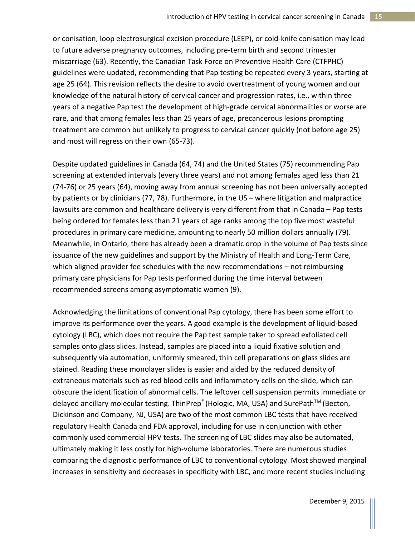or conisation, loop electrosurgical excision procedure (LEEP), or cold-knife conisation may lead to future adverse pregnancy outcomes, including pre-term birth and second trimester miscarriage (63). Recently, the Canadian Task Force on Preventive Health Care (CTFPHC) guidelines were updated, recommending that Pap testing be repeated every 3 years, starting at age 25 (64). This revision reflects the desire to avoid overtreatment of young women and our knowledge of the natural history of cervical cancer and progression rates, i.e., within three years of a negative Pap test the development of high-grade cervical abnormalities or worse are rare, and that among females less than 25 years of age, precancerous lesions prompting treatment are common but unlikely to progress to cervical cancer quickly (not before age 25) and most will regress on their own (65-73).

Despite updated guidelines in Canada (64, 74) and the United States (75) recommending Pap screening at extended intervals (every three years) and not among females aged less than 21 (74-76) or 25 years (64), moving away from annual screening has not been universally accepted by patients or by clinicians (77, 78). Furthermore, in the US – where litigation and malpractice lawsuits are common and healthcare delivery is very different from that in Canada – Pap tests being ordered for females less than 21 years of age ranks among the top five most wasteful procedures in primary care medicine, amounting to nearly 50 million dollars annually (79). Meanwhile, in Ontario, there has already been a dramatic drop in the volume of Pap tests since issuance of the new guidelines and support by the Ministry of Health and Long-Term Care, which aligned provider fee schedules with the new recommendations – not reimbursing primary care physicians for Pap tests performed during the time interval between recommended screens among asymptomatic women (9).

Acknowledging the limitations of conventional Pap cytology, there has been some effort to improve its performance over the years. A good example is the development of liquid-based cytology (LBC), which does not require the Pap test sample taker to spread exfoliated cell samples onto glass slides. Instead, samples are placed into a liquid fixative solution and subsequently via automation, uniformly smeared, thin cell preparations on glass slides are stained. Reading these monolayer slides is easier and aided by the reduced density of extraneous materials such as red blood cells and inflammatory cells on the slide, which can obscure the identification of abnormal cells. The leftover cell suspension permits immediate or delayed ancillary molecular testing. ThinPrep® (Hologic, MA, USA) and SurePath<sup>™</sup> (Becton, Dickinson and Company, NJ, USA) are two of the most common LBC tests that have received regulatory Health Canada and FDA approval, including for use in conjunction with other commonly used commercial HPV tests. The screening of LBC slides may also be automated, ultimately making it less costly for high-volume laboratories. There are numerous studies comparing the diagnostic performance of LBC to conventional cytology. Most showed marginal increases in sensitivity and decreases in specificity with LBC, and more recent studies including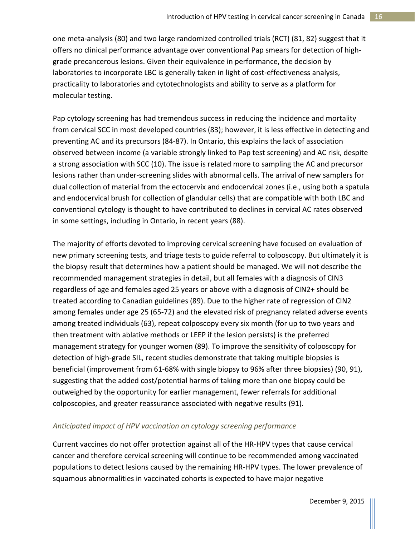one meta-analysis (80) and two large randomized controlled trials (RCT) (81, 82) suggest that it offers no clinical performance advantage over conventional Pap smears for detection of highgrade precancerous lesions. Given their equivalence in performance, the decision by laboratories to incorporate LBC is generally taken in light of cost-effectiveness analysis, practicality to laboratories and cytotechnologists and ability to serve as a platform for molecular testing.

Pap cytology screening has had tremendous success in reducing the incidence and mortality from cervical SCC in most developed countries (83); however, it is less effective in detecting and preventing AC and its precursors (84-87). In Ontario, this explains the lack of association observed between income (a variable strongly linked to Pap test screening) and AC risk, despite a strong association with SCC (10). The issue is related more to sampling the AC and precursor lesions rather than under-screening slides with abnormal cells. The arrival of new samplers for dual collection of material from the ectocervix and endocervical zones (i.e., using both a spatula and endocervical brush for collection of glandular cells) that are compatible with both LBC and conventional cytology is thought to have contributed to declines in cervical AC rates observed in some settings, including in Ontario, in recent years (88).

The majority of efforts devoted to improving cervical screening have focused on evaluation of new primary screening tests, and triage tests to guide referral to colposcopy. But ultimately it is the biopsy result that determines how a patient should be managed. We will not describe the recommended management strategies in detail, but all females with a diagnosis of CIN3 regardless of age and females aged 25 years or above with a diagnosis of CIN2+ should be treated according to Canadian guidelines (89). Due to the higher rate of regression of CIN2 among females under age 25 (65-72) and the elevated risk of pregnancy related adverse events among treated individuals (63), repeat colposcopy every six month (for up to two years and then treatment with ablative methods or LEEP if the lesion persists) is the preferred management strategy for younger women (89). To improve the sensitivity of colposcopy for detection of high-grade SIL, recent studies demonstrate that taking multiple biopsies is beneficial (improvement from 61-68% with single biopsy to 96% after three biopsies) (90, 91), suggesting that the added cost/potential harms of taking more than one biopsy could be outweighed by the opportunity for earlier management, fewer referrals for additional colposcopies, and greater reassurance associated with negative results (91).

## *Anticipated impact of HPV vaccination on cytology screening performance*

Current vaccines do not offer protection against all of the HR-HPV types that cause cervical cancer and therefore cervical screening will continue to be recommended among vaccinated populations to detect lesions caused by the remaining HR-HPV types. The lower prevalence of squamous abnormalities in vaccinated cohorts is expected to have major negative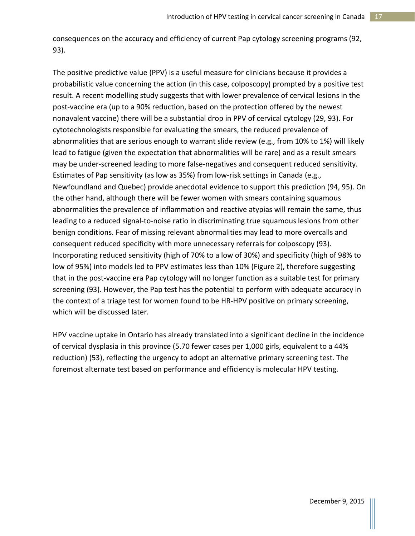consequences on the accuracy and efficiency of current Pap cytology screening programs (92, 93).

The positive predictive value (PPV) is a useful measure for clinicians because it provides a probabilistic value concerning the action (in this case, colposcopy) prompted by a positive test result. A recent modelling study suggests that with lower prevalence of cervical lesions in the post-vaccine era (up to a 90% reduction, based on the protection offered by the newest nonavalent vaccine) there will be a substantial drop in PPV of cervical cytology (29, 93). For cytotechnologists responsible for evaluating the smears, the reduced prevalence of abnormalities that are serious enough to warrant slide review (e.g., from 10% to 1%) will likely lead to fatigue (given the expectation that abnormalities will be rare) and as a result smears may be under-screened leading to more false-negatives and consequent reduced sensitivity. Estimates of Pap sensitivity (as low as 35%) from low-risk settings in Canada (e.g., Newfoundland and Quebec) provide anecdotal evidence to support this prediction (94, 95). On the other hand, although there will be fewer women with smears containing squamous abnormalities the prevalence of inflammation and reactive atypias will remain the same, thus leading to a reduced signal-to-noise ratio in discriminating true squamous lesions from other benign conditions. Fear of missing relevant abnormalities may lead to more overcalls and consequent reduced specificity with more unnecessary referrals for colposcopy (93). Incorporating reduced sensitivity (high of 70% to a low of 30%) and specificity (high of 98% to low of 95%) into models led to PPV estimates less than 10% (Figure 2), therefore suggesting that in the post-vaccine era Pap cytology will no longer function as a suitable test for primary screening (93). However, the Pap test has the potential to perform with adequate accuracy in the context of a triage test for women found to be HR-HPV positive on primary screening, which will be discussed later.

HPV vaccine uptake in Ontario has already translated into a significant decline in the incidence of cervical dysplasia in this province (5.70 fewer cases per 1,000 girls, equivalent to a 44% reduction) (53), reflecting the urgency to adopt an alternative primary screening test. The foremost alternate test based on performance and efficiency is molecular HPV testing.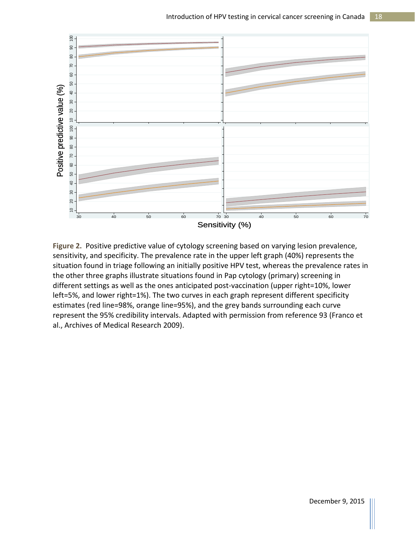

**Figure 2.** Positive predictive value of cytology screening based on varying lesion prevalence, sensitivity, and specificity. The prevalence rate in the upper left graph (40%) represents the situation found in triage following an initially positive HPV test, whereas the prevalence rates in the other three graphs illustrate situations found in Pap cytology (primary) screening in different settings as well as the ones anticipated post-vaccination (upper right=10%, lower left=5%, and lower right=1%). The two curves in each graph represent different specificity estimates (red line=98%, orange line=95%), and the grey bands surrounding each curve represent the 95% credibility intervals. Adapted with permission from reference 93 (Franco et al., Archives of Medical Research 2009).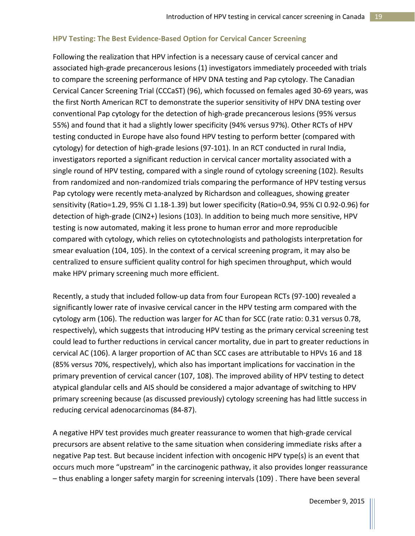### **HPV Testing: The Best Evidence-Based Option for Cervical Cancer Screening**

Following the realization that HPV infection is a necessary cause of cervical cancer and associated high-grade precancerous lesions (1) investigators immediately proceeded with trials to compare the screening performance of HPV DNA testing and Pap cytology. The Canadian Cervical Cancer Screening Trial (CCCaST) (96), which focussed on females aged 30-69 years, was the first North American RCT to demonstrate the superior sensitivity of HPV DNA testing over conventional Pap cytology for the detection of high-grade precancerous lesions (95% versus 55%) and found that it had a slightly lower specificity (94% versus 97%). Other RCTs of HPV testing conducted in Europe have also found HPV testing to perform better (compared with cytology) for detection of high-grade lesions (97-101). In an RCT conducted in rural India, investigators reported a significant reduction in cervical cancer mortality associated with a single round of HPV testing, compared with a single round of cytology screening (102). Results from randomized and non-randomized trials comparing the performance of HPV testing versus Pap cytology were recently meta-analyzed by Richardson and colleagues, showing greater sensitivity (Ratio=1.29, 95% CI 1.18-1.39) but lower specificity (Ratio=0.94, 95% CI 0.92-0.96) for detection of high-grade (CIN2+) lesions (103). In addition to being much more sensitive, HPV testing is now automated, making it less prone to human error and more reproducible compared with cytology, which relies on cytotechnologists and pathologists interpretation for smear evaluation (104, 105). In the context of a cervical screening program, it may also be centralized to ensure sufficient quality control for high specimen throughput, which would make HPV primary screening much more efficient.

Recently, a study that included follow-up data from four European RCTs (97-100) revealed a significantly lower rate of invasive cervical cancer in the HPV testing arm compared with the cytology arm (106). The reduction was larger for AC than for SCC (rate ratio: 0.31 versus 0.78, respectively), which suggests that introducing HPV testing as the primary cervical screening test could lead to further reductions in cervical cancer mortality, due in part to greater reductions in cervical AC (106). A larger proportion of AC than SCC cases are attributable to HPVs 16 and 18 (85% versus 70%, respectively), which also has important implications for vaccination in the primary prevention of cervical cancer (107, 108). The improved ability of HPV testing to detect atypical glandular cells and AIS should be considered a major advantage of switching to HPV primary screening because (as discussed previously) cytology screening has had little success in reducing cervical adenocarcinomas (84-87).

A negative HPV test provides much greater reassurance to women that high-grade cervical precursors are absent relative to the same situation when considering immediate risks after a negative Pap test. But because incident infection with oncogenic HPV type(s) is an event that occurs much more "upstream" in the carcinogenic pathway, it also provides longer reassurance – thus enabling a longer safety margin for screening intervals (109) . There have been several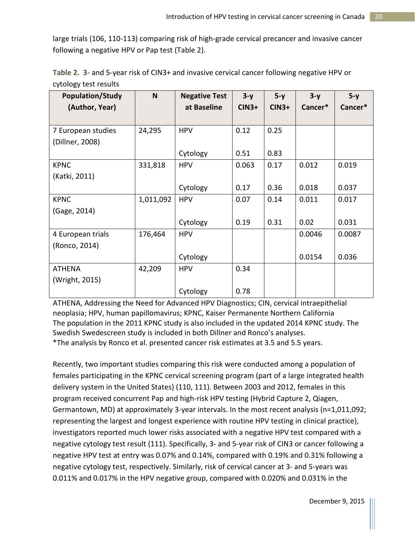large trials (106, 110-113) comparing risk of high-grade cervical precancer and invasive cancer following a negative HPV or Pap test (Table 2).

|                       |  | Table 2. 3- and 5-year risk of CIN3+ and invasive cervical cancer following negative HPV or |  |
|-----------------------|--|---------------------------------------------------------------------------------------------|--|
| cytology test results |  |                                                                                             |  |

| <b>Population/Study</b> | N         | <b>Negative Test</b> | $3-y$   | $5-y$   | $3-y$   | $5-y$   |
|-------------------------|-----------|----------------------|---------|---------|---------|---------|
| (Author, Year)          |           | at Baseline          | $CIN3+$ | $CIN3+$ | Cancer* | Cancer* |
|                         |           |                      |         |         |         |         |
| 7 European studies      | 24,295    | <b>HPV</b>           | 0.12    | 0.25    |         |         |
| (Dillner, 2008)         |           |                      |         |         |         |         |
|                         |           | Cytology             | 0.51    | 0.83    |         |         |
| <b>KPNC</b>             | 331,818   | <b>HPV</b>           | 0.063   | 0.17    | 0.012   | 0.019   |
| (Katki, 2011)           |           |                      |         |         |         |         |
|                         |           | Cytology             | 0.17    | 0.36    | 0.018   | 0.037   |
| <b>KPNC</b>             | 1,011,092 | <b>HPV</b>           | 0.07    | 0.14    | 0.011   | 0.017   |
| (Gage, 2014)            |           |                      |         |         |         |         |
|                         |           | Cytology             | 0.19    | 0.31    | 0.02    | 0.031   |
| 4 European trials       | 176,464   | <b>HPV</b>           |         |         | 0.0046  | 0.0087  |
| (Ronco, 2014)           |           |                      |         |         |         |         |
|                         |           | Cytology             |         |         | 0.0154  | 0.036   |
| <b>ATHENA</b>           | 42,209    | <b>HPV</b>           | 0.34    |         |         |         |
| (Wright, 2015)          |           |                      |         |         |         |         |
|                         |           | Cytology             | 0.78    |         |         |         |

ATHENA, Addressing the Need for Advanced HPV Diagnostics; CIN, cervical intraepithelial neoplasia; HPV, human papillomavirus; KPNC, Kaiser Permanente Northern California The population in the 2011 KPNC study is also included in the updated 2014 KPNC study. The Swedish Swedescreen study is included in both Dillner and Ronco's analyses. \*The analysis by Ronco et al. presented cancer risk estimates at 3.5 and 5.5 years.

Recently, two important studies comparing this risk were conducted among a population of females participating in the KPNC cervical screening program (part of a large integrated health delivery system in the United States) (110, 111). Between 2003 and 2012, females in this program received concurrent Pap and high-risk HPV testing (Hybrid Capture 2, Qiagen, Germantown, MD) at approximately 3-year intervals. In the most recent analysis (n=1,011,092; representing the largest and longest experience with routine HPV testing in clinical practice), investigators reported much lower risks associated with a negative HPV test compared with a negative cytology test result (111). Specifically, 3- and 5-year risk of CIN3 or cancer following a negative HPV test at entry was 0.07% and 0.14%, compared with 0.19% and 0.31% following a negative cytology test, respectively. Similarly, risk of cervical cancer at 3- and 5-years was 0.011% and 0.017% in the HPV negative group, compared with 0.020% and 0.031% in the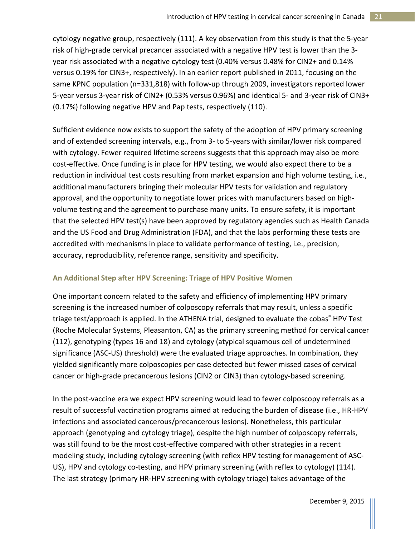cytology negative group, respectively (111). A key observation from this study is that the 5-year risk of high-grade cervical precancer associated with a negative HPV test is lower than the 3 year risk associated with a negative cytology test (0.40% versus 0.48% for CIN2+ and 0.14% versus 0.19% for CIN3+, respectively). In an earlier report published in 2011, focusing on the same KPNC population (n=331,818) with follow-up through 2009, investigators reported lower 5-year versus 3-year risk of CIN2+ (0.53% versus 0.96%) and identical 5- and 3-year risk of CIN3+ (0.17%) following negative HPV and Pap tests, respectively (110).

Sufficient evidence now exists to support the safety of the adoption of HPV primary screening and of extended screening intervals, e.g., from 3- to 5-years with similar/lower risk compared with cytology. Fewer required lifetime screens suggests that this approach may also be more cost-effective. Once funding is in place for HPV testing, we would also expect there to be a reduction in individual test costs resulting from market expansion and high volume testing, i.e., additional manufacturers bringing their molecular HPV tests for validation and regulatory approval, and the opportunity to negotiate lower prices with manufacturers based on highvolume testing and the agreement to purchase many units. To ensure safety, it is important that the selected HPV test(s) have been approved by regulatory agencies such as Health Canada and the US Food and Drug Administration (FDA), and that the labs performing these tests are accredited with mechanisms in place to validate performance of testing, i.e., precision, accuracy, reproducibility, reference range, sensitivity and specificity.

## **An Additional Step after HPV Screening: Triage of HPV Positive Women**

One important concern related to the safety and efficiency of implementing HPV primary screening is the increased number of colposcopy referrals that may result, unless a specific triage test/approach is applied. In the ATHENA trial, designed to evaluate the cobas<sup>®</sup> HPV Test (Roche Molecular Systems, Pleasanton, CA) as the primary screening method for cervical cancer (112), genotyping (types 16 and 18) and cytology (atypical squamous cell of undetermined significance (ASC-US) threshold) were the evaluated triage approaches. In combination, they yielded significantly more colposcopies per case detected but fewer missed cases of cervical cancer or high-grade precancerous lesions (CIN2 or CIN3) than cytology-based screening.

In the post-vaccine era we expect HPV screening would lead to fewer colposcopy referrals as a result of successful vaccination programs aimed at reducing the burden of disease (i.e., HR-HPV infections and associated cancerous/precancerous lesions). Nonetheless, this particular approach (genotyping and cytology triage), despite the high number of colposcopy referrals, was still found to be the most cost-effective compared with other strategies in a recent modeling study, including cytology screening (with reflex HPV testing for management of ASC-US), HPV and cytology co-testing, and HPV primary screening (with reflex to cytology) (114). The last strategy (primary HR-HPV screening with cytology triage) takes advantage of the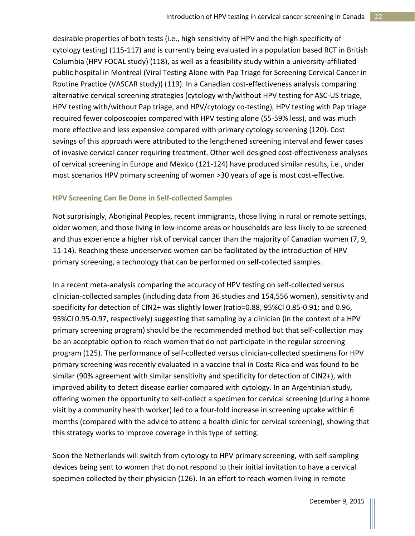desirable properties of both tests (i.e., high sensitivity of HPV and the high specificity of cytology testing) (115-117) and is currently being evaluated in a population based RCT in British Columbia (HPV FOCAL study) (118), as well as a feasibility study within a university-affiliated public hospital in Montreal (Viral Testing Alone with Pap Triage for Screening Cervical Cancer in Routine Practice (VASCAR study)) (119). In a Canadian cost-effectiveness analysis comparing alternative cervical screening strategies (cytology with/without HPV testing for ASC-US triage, HPV testing with/without Pap triage, and HPV/cytology co-testing), HPV testing with Pap triage required fewer colposcopies compared with HPV testing alone (55-59% less), and was much more effective and less expensive compared with primary cytology screening (120). Cost savings of this approach were attributed to the lengthened screening interval and fewer cases of invasive cervical cancer requiring treatment. Other well designed cost-effectiveness analyses of cervical screening in Europe and Mexico (121-124) have produced similar results, i.e., under most scenarios HPV primary screening of women >30 years of age is most cost-effective.

## **HPV Screening Can Be Done in Self-collected Samples**

Not surprisingly, Aboriginal Peoples, recent immigrants, those living in rural or remote settings, older women, and those living in low-income areas or households are less likely to be screened and thus experience a higher risk of cervical cancer than the majority of Canadian women (7, 9, 11-14). Reaching these underserved women can be facilitated by the introduction of HPV primary screening, a technology that can be performed on self-collected samples.

In a recent meta-analysis comparing the accuracy of HPV testing on self-collected versus clinician-collected samples (including data from 36 studies and 154,556 women), sensitivity and specificity for detection of CIN2+ was slightly lower (ratio=0.88, 95%CI 0.85-0.91; and 0.96, 95%CI 0.95-0.97, respectively) suggesting that sampling by a clinician (in the context of a HPV primary screening program) should be the recommended method but that self-collection may be an acceptable option to reach women that do not participate in the regular screening program (125). The performance of self-collected versus clinician-collected specimens for HPV primary screening was recently evaluated in a vaccine trial in Costa Rica and was found to be similar (90% agreement with similar sensitivity and specificity for detection of CIN2+), with improved ability to detect disease earlier compared with cytology. In an Argentinian study, offering women the opportunity to self-collect a specimen for cervical screening (during a home visit by a community health worker) led to a four-fold increase in screening uptake within 6 months (compared with the advice to attend a health clinic for cervical screening), showing that this strategy works to improve coverage in this type of setting.

Soon the Netherlands will switch from cytology to HPV primary screening, with self-sampling devices being sent to women that do not respond to their initial invitation to have a cervical specimen collected by their physician (126). In an effort to reach women living in remote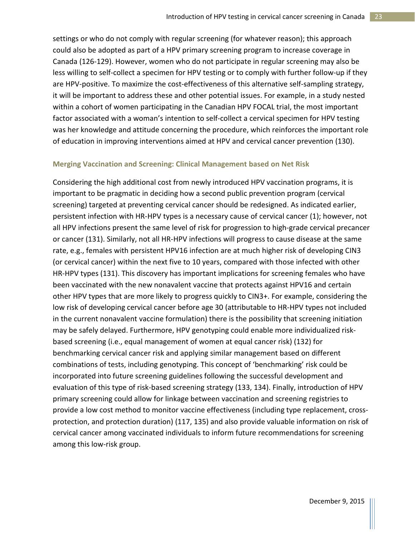settings or who do not comply with regular screening (for whatever reason); this approach could also be adopted as part of a HPV primary screening program to increase coverage in Canada (126-129). However, women who do not participate in regular screening may also be less willing to self-collect a specimen for HPV testing or to comply with further follow-up if they are HPV-positive. To maximize the cost-effectiveness of this alternative self-sampling strategy, it will be important to address these and other potential issues. For example, in a study nested within a cohort of women participating in the Canadian HPV FOCAL trial, the most important factor associated with a woman's intention to self-collect a cervical specimen for HPV testing was her knowledge and attitude concerning the procedure, which reinforces the important role of education in improving interventions aimed at HPV and cervical cancer prevention (130).

### **Merging Vaccination and Screening: Clinical Management based on Net Risk**

Considering the high additional cost from newly introduced HPV vaccination programs, it is important to be pragmatic in deciding how a second public prevention program (cervical screening) targeted at preventing cervical cancer should be redesigned. As indicated earlier, persistent infection with HR-HPV types is a necessary cause of cervical cancer (1); however, not all HPV infections present the same level of risk for progression to high-grade cervical precancer or cancer (131). Similarly, not all HR-HPV infections will progress to cause disease at the same rate, e.g., females with persistent HPV16 infection are at much higher risk of developing CIN3 (or cervical cancer) within the next five to 10 years, compared with those infected with other HR-HPV types (131). This discovery has important implications for screening females who have been vaccinated with the new nonavalent vaccine that protects against HPV16 and certain other HPV types that are more likely to progress quickly to CIN3+. For example, considering the low risk of developing cervical cancer before age 30 (attributable to HR-HPV types not included in the current nonavalent vaccine formulation) there is the possibility that screening initiation may be safely delayed. Furthermore, HPV genotyping could enable more individualized riskbased screening (i.e., equal management of women at equal cancer risk) (132) for benchmarking cervical cancer risk and applying similar management based on different combinations of tests, including genotyping. This concept of 'benchmarking' risk could be incorporated into future screening guidelines following the successful development and evaluation of this type of risk-based screening strategy (133, 134). Finally, introduction of HPV primary screening could allow for linkage between vaccination and screening registries to provide a low cost method to monitor vaccine effectiveness (including type replacement, crossprotection, and protection duration) (117, 135) and also provide valuable information on risk of cervical cancer among vaccinated individuals to inform future recommendations for screening among this low-risk group.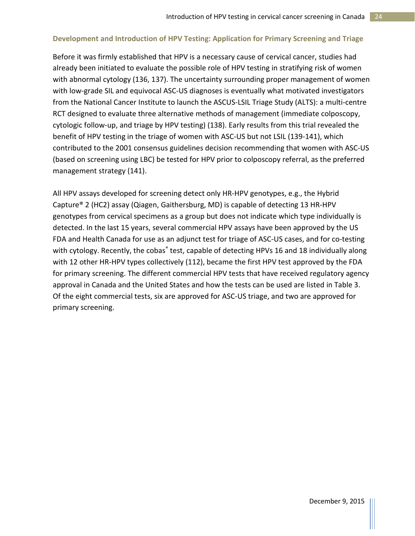## **Development and Introduction of HPV Testing: Application for Primary Screening and Triage**

Before it was firmly established that HPV is a necessary cause of cervical cancer, studies had already been initiated to evaluate the possible role of HPV testing in stratifying risk of women with abnormal cytology (136, 137). The uncertainty surrounding proper management of women with low-grade SIL and equivocal ASC-US diagnoses is eventually what motivated investigators from the National Cancer Institute to launch the ASCUS-LSIL Triage Study (ALTS): a multi-centre RCT designed to evaluate three alternative methods of management (immediate colposcopy, cytologic follow-up, and triage by HPV testing) (138). Early results from this trial revealed the benefit of HPV testing in the triage of women with ASC-US but not LSIL (139-141), which contributed to the 2001 consensus guidelines decision recommending that women with ASC-US (based on screening using LBC) be tested for HPV prior to colposcopy referral, as the preferred management strategy (141).

All HPV assays developed for screening detect only HR-HPV genotypes, e.g., the Hybrid Capture® 2 (HC2) assay (Qiagen, Gaithersburg, MD) is capable of detecting 13 HR-HPV genotypes from cervical specimens as a group but does not indicate which type individually is detected. In the last 15 years, several commercial HPV assays have been approved by the US FDA and Health Canada for use as an adjunct test for triage of ASC-US cases, and for co-testing with cytology. Recently, the cobas® test, capable of detecting HPVs 16 and 18 individually along with 12 other HR-HPV types collectively (112), became the first HPV test approved by the FDA for primary screening. The different commercial HPV tests that have received regulatory agency approval in Canada and the United States and how the tests can be used are listed in Table 3. Of the eight commercial tests, six are approved for ASC-US triage, and two are approved for primary screening.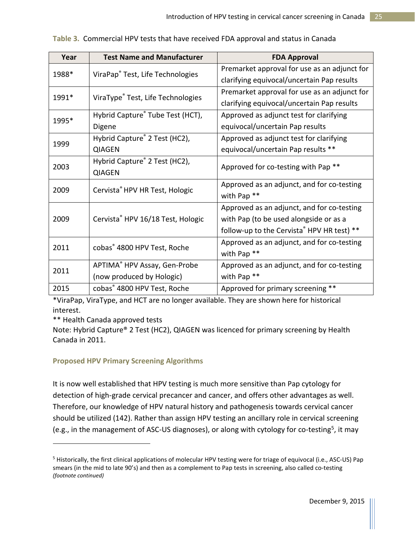| Year  | <b>Test Name and Manufacturer</b>       | <b>FDA Approval</b>                            |  |  |
|-------|-----------------------------------------|------------------------------------------------|--|--|
| 1988* | ViraPap® Test, Life Technologies        | Premarket approval for use as an adjunct for   |  |  |
|       |                                         | clarifying equivocal/uncertain Pap results     |  |  |
| 1991* | ViraType® Test, Life Technologies       | Premarket approval for use as an adjunct for   |  |  |
|       |                                         | clarifying equivocal/uncertain Pap results     |  |  |
| 1995* | Hybrid Capture® Tube Test (HCT),        | Approved as adjunct test for clarifying        |  |  |
|       | Digene                                  | equivocal/uncertain Pap results                |  |  |
| 1999  | Hybrid Capture® 2 Test (HC2),           | Approved as adjunct test for clarifying        |  |  |
|       | <b>QIAGEN</b>                           | equivocal/uncertain Pap results **             |  |  |
| 2003  | Hybrid Capture® 2 Test (HC2),           | Approved for co-testing with Pap <sup>**</sup> |  |  |
|       | <b>QIAGEN</b>                           |                                                |  |  |
| 2009  | Cervista® HPV HR Test, Hologic          | Approved as an adjunct, and for co-testing     |  |  |
|       |                                         | with Pap <sup>**</sup>                         |  |  |
|       |                                         | Approved as an adjunct, and for co-testing     |  |  |
| 2009  | Cervista® HPV 16/18 Test, Hologic       | with Pap (to be used alongside or as a         |  |  |
|       |                                         | follow-up to the Cervista® HPV HR test) **     |  |  |
| 2011  | cobas® 4800 HPV Test, Roche             | Approved as an adjunct, and for co-testing     |  |  |
|       |                                         | with Pap <sup>**</sup>                         |  |  |
| 2011  | APTIMA® HPV Assay, Gen-Probe            | Approved as an adjunct, and for co-testing     |  |  |
|       | (now produced by Hologic)               | with Pap <sup>**</sup>                         |  |  |
| 2015  | cobas <sup>®</sup> 4800 HPV Test, Roche | Approved for primary screening **              |  |  |

|  |  |  |  |  | Table 3. Commercial HPV tests that have received FDA approval and status in Canada |
|--|--|--|--|--|------------------------------------------------------------------------------------|
|--|--|--|--|--|------------------------------------------------------------------------------------|

\*ViraPap, ViraType, and HCT are no longer available. They are shown here for historical interest.

\*\* Health Canada approved tests

 $\overline{\phantom{a}}$ 

Note: Hybrid Capture® 2 Test (HC2), QIAGEN was licenced for primary screening by Health Canada in 2011.

## **Proposed HPV Primary Screening Algorithms**

It is now well established that HPV testing is much more sensitive than Pap cytology for detection of high-grade cervical precancer and cancer, and offers other advantages as well. Therefore, our knowledge of HPV natural history and pathogenesis towards cervical cancer should be utilized (142). Rather than assign HPV testing an ancillary role in cervical screening (e.g., in the management of ASC-US diagnoses), or along with cytology for co-testing<sup>[5](#page-25-0)</sup>, it may

<span id="page-25-0"></span><sup>5</sup> Historically, the first clinical applications of molecular HPV testing were for triage of equivocal (i.e., ASC-US) Pap smears (in the mid to late 90's) and then as a complement to Pap tests in screening, also called co-testing *(footnote continued)*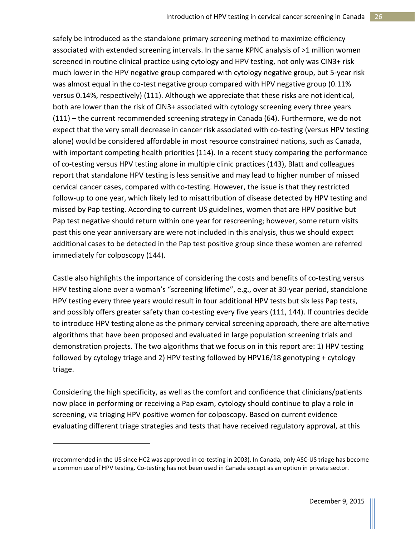safely be introduced as the standalone primary screening method to maximize efficiency associated with extended screening intervals. In the same KPNC analysis of >1 million women screened in routine clinical practice using cytology and HPV testing, not only was CIN3+ risk much lower in the HPV negative group compared with cytology negative group, but 5-year risk was almost equal in the co-test negative group compared with HPV negative group (0.11% versus 0.14%, respectively) (111). Although we appreciate that these risks are not identical, both are lower than the risk of CIN3+ associated with cytology screening every three years (111) – the current recommended screening strategy in Canada (64). Furthermore, we do not expect that the very small decrease in cancer risk associated with co-testing (versus HPV testing alone) would be considered affordable in most resource constrained nations, such as Canada, with important competing health priorities (114). In a recent study comparing the performance of co-testing versus HPV testing alone in multiple clinic practices (143), Blatt and colleagues report that standalone HPV testing is less sensitive and may lead to higher number of missed cervical cancer cases, compared with co-testing. However, the issue is that they restricted follow-up to one year, which likely led to misattribution of disease detected by HPV testing and missed by Pap testing. According to current US guidelines, women that are HPV positive but Pap test negative should return within one year for rescreening; however, some return visits past this one year anniversary are were not included in this analysis, thus we should expect additional cases to be detected in the Pap test positive group since these women are referred immediately for colposcopy (144).

Castle also highlights the importance of considering the costs and benefits of co-testing versus HPV testing alone over a woman's "screening lifetime", e.g., over at 30-year period, standalone HPV testing every three years would result in four additional HPV tests but six less Pap tests, and possibly offers greater safety than co-testing every five years (111, 144). If countries decide to introduce HPV testing alone as the primary cervical screening approach, there are alternative algorithms that have been proposed and evaluated in large population screening trials and demonstration projects. The two algorithms that we focus on in this report are: 1) HPV testing followed by cytology triage and 2) HPV testing followed by HPV16/18 genotyping + cytology triage.

Considering the high specificity, as well as the comfort and confidence that clinicians/patients now place in performing or receiving a Pap exam, cytology should continue to play a role in screening, via triaging HPV positive women for colposcopy. Based on current evidence evaluating different triage strategies and tests that have received regulatory approval, at this

 $\overline{\phantom{a}}$ 

<sup>(</sup>recommended in the US since HC2 was approved in co-testing in 2003). In Canada, only ASC-US triage has become a common use of HPV testing. Co-testing has not been used in Canada except as an option in private sector.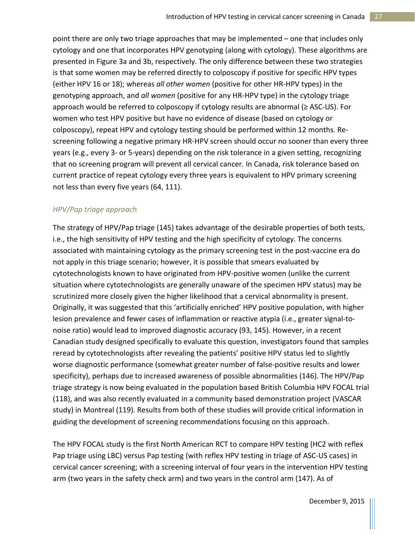point there are only two triage approaches that may be implemented – one that includes only cytology and one that incorporates HPV genotyping (along with cytology). These algorithms are presented in Figure 3a and 3b, respectively. The only difference between these two strategies is that some women may be referred directly to colposcopy if positive for specific HPV types (either HPV 16 or 18); whereas *all other women* (positive for other HR-HPV types) in the genotyping approach, and *all women* (positive for any HR-HPV type) in the cytology triage approach would be referred to colposcopy if cytology results are abnormal (≥ ASC-US). For women who test HPV positive but have no evidence of disease (based on cytology or colposcopy), repeat HPV and cytology testing should be performed within 12 months. Rescreening following a negative primary HR-HPV screen should occur no sooner than every three years (e.g., every 3- or 5-years) depending on the risk tolerance in a given setting, recognizing that no screening program will prevent all cervical cancer. In Canada, risk tolerance based on current practice of repeat cytology every three years is equivalent to HPV primary screening not less than every five years (64, 111).

## *HPV/Pap triage approach*

The strategy of HPV/Pap triage (145) takes advantage of the desirable properties of both tests, i.e., the high sensitivity of HPV testing and the high specificity of cytology. The concerns associated with maintaining cytology as the primary screening test in the post-vaccine era do not apply in this triage scenario; however, it is possible that smears evaluated by cytotechnologists known to have originated from HPV-positive women (unlike the current situation where cytotechnologists are generally unaware of the specimen HPV status) may be scrutinized more closely given the higher likelihood that a cervical abnormality is present. Originally, it was suggested that this 'artificially enriched' HPV positive population, with higher lesion prevalence and fewer cases of inflammation or reactive atypia (i.e., greater signal-tonoise ratio) would lead to improved diagnostic accuracy (93, 145). However, in a recent Canadian study designed specifically to evaluate this question, investigators found that samples reread by cytotechnologists after revealing the patients' positive HPV status led to slightly worse diagnostic performance (somewhat greater number of false-positive results and lower specificity), perhaps due to increased awareness of possible abnormalities (146). The HPV/Pap triage strategy is now being evaluated in the population based British Columbia HPV FOCAL trial (118), and was also recently evaluated in a community based demonstration project (VASCAR study) in Montreal (119). Results from both of these studies will provide critical information in guiding the development of screening recommendations focusing on this approach.

The HPV FOCAL study is the first North American RCT to compare HPV testing (HC2 with reflex Pap triage using LBC) versus Pap testing (with reflex HPV testing in triage of ASC-US cases) in cervical cancer screening; with a screening interval of four years in the intervention HPV testing arm (two years in the safety check arm) and two years in the control arm (147). As of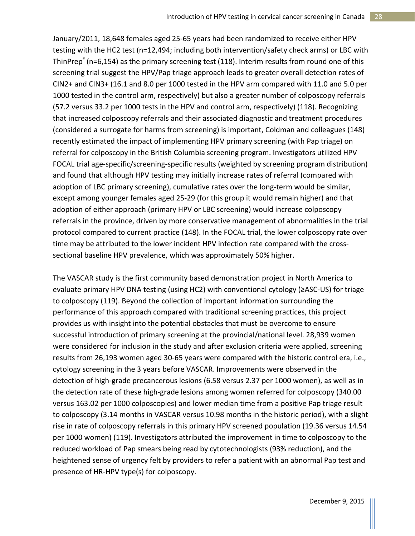January/2011, 18,648 females aged 25-65 years had been randomized to receive either HPV testing with the HC2 test (n=12,494; including both intervention/safety check arms) or LBC with ThinPrep® (n=6,154) as the primary screening test (118). Interim results from round one of this screening trial suggest the HPV/Pap triage approach leads to greater overall detection rates of CIN2+ and CIN3+ (16.1 and 8.0 per 1000 tested in the HPV arm compared with 11.0 and 5.0 per 1000 tested in the control arm, respectively) but also a greater number of colposcopy referrals (57.2 versus 33.2 per 1000 tests in the HPV and control arm, respectively) (118). Recognizing that increased colposcopy referrals and their associated diagnostic and treatment procedures (considered a surrogate for harms from screening) is important, Coldman and colleagues (148) recently estimated the impact of implementing HPV primary screening (with Pap triage) on referral for colposcopy in the British Columbia screening program. Investigators utilized HPV FOCAL trial age-specific/screening-specific results (weighted by screening program distribution) and found that although HPV testing may initially increase rates of referral (compared with adoption of LBC primary screening), cumulative rates over the long-term would be similar, except among younger females aged 25-29 (for this group it would remain higher) and that adoption of either approach (primary HPV or LBC screening) would increase colposcopy referrals in the province, driven by more conservative management of abnormalities in the trial protocol compared to current practice (148). In the FOCAL trial, the lower colposcopy rate over time may be attributed to the lower incident HPV infection rate compared with the crosssectional baseline HPV prevalence, which was approximately 50% higher.

The VASCAR study is the first community based demonstration project in North America to evaluate primary HPV DNA testing (using HC2) with conventional cytology (≥ASC-US) for triage to colposcopy (119). Beyond the collection of important information surrounding the performance of this approach compared with traditional screening practices, this project provides us with insight into the potential obstacles that must be overcome to ensure successful introduction of primary screening at the provincial/national level. 28,939 women were considered for inclusion in the study and after exclusion criteria were applied, screening results from 26,193 women aged 30-65 years were compared with the historic control era, i.e., cytology screening in the 3 years before VASCAR. Improvements were observed in the detection of high-grade precancerous lesions (6.58 versus 2.37 per 1000 women), as well as in the detection rate of these high-grade lesions among women referred for colposcopy (340.00 versus 163.02 per 1000 colposcopies) and lower median time from a positive Pap triage result to colposcopy (3.14 months in VASCAR versus 10.98 months in the historic period), with a slight rise in rate of colposcopy referrals in this primary HPV screened population (19.36 versus 14.54 per 1000 women) (119). Investigators attributed the improvement in time to colposcopy to the reduced workload of Pap smears being read by cytotechnologists (93% reduction), and the heightened sense of urgency felt by providers to refer a patient with an abnormal Pap test and presence of HR-HPV type(s) for colposcopy.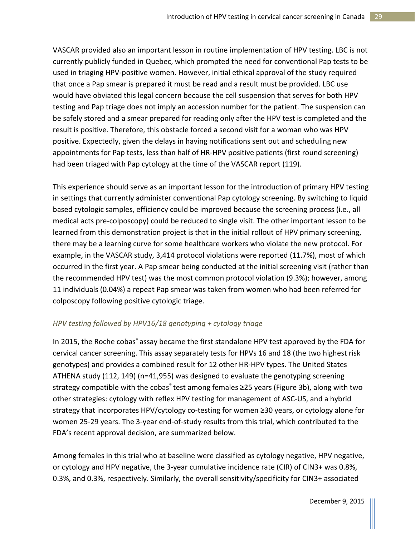VASCAR provided also an important lesson in routine implementation of HPV testing. LBC is not currently publicly funded in Quebec, which prompted the need for conventional Pap tests to be used in triaging HPV-positive women. However, initial ethical approval of the study required that once a Pap smear is prepared it must be read and a result must be provided. LBC use would have obviated this legal concern because the cell suspension that serves for both HPV testing and Pap triage does not imply an accession number for the patient. The suspension can be safely stored and a smear prepared for reading only after the HPV test is completed and the result is positive. Therefore, this obstacle forced a second visit for a woman who was HPV positive. Expectedly, given the delays in having notifications sent out and scheduling new appointments for Pap tests, less than half of HR-HPV positive patients (first round screening) had been triaged with Pap cytology at the time of the VASCAR report (119).

This experience should serve as an important lesson for the introduction of primary HPV testing in settings that currently administer conventional Pap cytology screening. By switching to liquid based cytologic samples, efficiency could be improved because the screening process (i.e., all medical acts pre-colposcopy) could be reduced to single visit. The other important lesson to be learned from this demonstration project is that in the initial rollout of HPV primary screening, there may be a learning curve for some healthcare workers who violate the new protocol. For example, in the VASCAR study, 3,414 protocol violations were reported (11.7%), most of which occurred in the first year. A Pap smear being conducted at the initial screening visit (rather than the recommended HPV test) was the most common protocol violation (9.3%); however, among 11 individuals (0.04%) a repeat Pap smear was taken from women who had been referred for colposcopy following positive cytologic triage.

## *HPV testing followed by HPV16/18 genotyping + cytology triage*

In 2015, the Roche cobas<sup>®</sup> assay became the first standalone HPV test approved by the FDA for cervical cancer screening. This assay separately tests for HPVs 16 and 18 (the two highest risk genotypes) and provides a combined result for 12 other HR-HPV types. The United States ATHENA study (112, 149) (n=41,955) was designed to evaluate the genotyping screening strategy compatible with the cobas® test among females ≥25 years (Figure 3b), along with two other strategies: cytology with reflex HPV testing for management of ASC-US, and a hybrid strategy that incorporates HPV/cytology co-testing for women ≥30 years, or cytology alone for women 25-29 years. The 3-year end-of-study results from this trial, which contributed to the FDA's recent approval decision, are summarized below.

Among females in this trial who at baseline were classified as cytology negative, HPV negative, or cytology and HPV negative, the 3-year cumulative incidence rate (CIR) of CIN3+ was 0.8%, 0.3%, and 0.3%, respectively. Similarly, the overall sensitivity/specificity for CIN3+ associated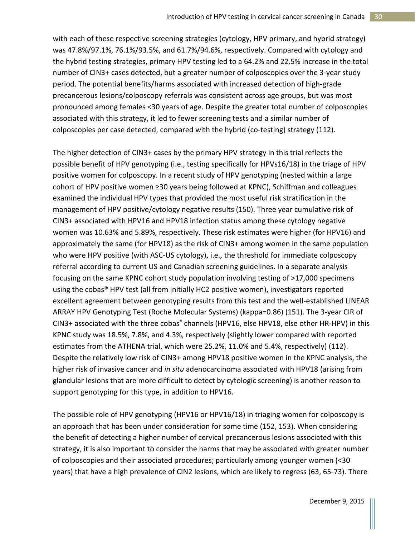with each of these respective screening strategies (cytology, HPV primary, and hybrid strategy) was 47.8%/97.1%, 76.1%/93.5%, and 61.7%/94.6%, respectively. Compared with cytology and the hybrid testing strategies, primary HPV testing led to a 64.2% and 22.5% increase in the total number of CIN3+ cases detected, but a greater number of colposcopies over the 3-year study period. The potential benefits/harms associated with increased detection of high-grade precancerous lesions/colposcopy referrals was consistent across age groups, but was most pronounced among females <30 years of age. Despite the greater total number of colposcopies associated with this strategy, it led to fewer screening tests and a similar number of colposcopies per case detected, compared with the hybrid (co-testing) strategy (112).

The higher detection of CIN3+ cases by the primary HPV strategy in this trial reflects the possible benefit of HPV genotyping (i.e., testing specifically for HPVs16/18) in the triage of HPV positive women for colposcopy. In a recent study of HPV genotyping (nested within a large cohort of HPV positive women ≥30 years being followed at KPNC), Schiffman and colleagues examined the individual HPV types that provided the most useful risk stratification in the management of HPV positive/cytology negative results (150). Three year cumulative risk of CIN3+ associated with HPV16 and HPV18 infection status among these cytology negative women was 10.63% and 5.89%, respectively. These risk estimates were higher (for HPV16) and approximately the same (for HPV18) as the risk of CIN3+ among women in the same population who were HPV positive (with ASC-US cytology), i.e., the threshold for immediate colposcopy referral according to current US and Canadian screening guidelines. In a separate analysis focusing on the same KPNC cohort study population involving testing of >17,000 specimens using the cobas® HPV test (all from initially HC2 positive women), investigators reported excellent agreement between genotyping results from this test and the well-established LINEAR ARRAY HPV Genotyping Test (Roche Molecular Systems) (kappa=0.86) (151). The 3-year CIR of CIN3+ associated with the three cobas® channels (HPV16, else HPV18, else other HR-HPV) in this KPNC study was 18.5%, 7.8%, and 4.3%, respectively (slightly lower compared with reported estimates from the ATHENA trial, which were 25.2%, 11.0% and 5.4%, respectively) (112). Despite the relatively low risk of CIN3+ among HPV18 positive women in the KPNC analysis, the higher risk of invasive cancer and *in situ* adenocarcinoma associated with HPV18 (arising from glandular lesions that are more difficult to detect by cytologic screening) is another reason to support genotyping for this type, in addition to HPV16.

The possible role of HPV genotyping (HPV16 or HPV16/18) in triaging women for colposcopy is an approach that has been under consideration for some time (152, 153). When considering the benefit of detecting a higher number of cervical precancerous lesions associated with this strategy, it is also important to consider the harms that may be associated with greater number of colposcopies and their associated procedures; particularly among younger women (<30 years) that have a high prevalence of CIN2 lesions, which are likely to regress (63, 65-73). There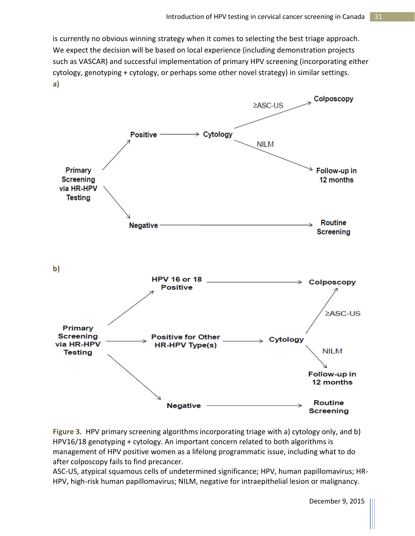is currently no obvious winning strategy when it comes to selecting the best triage approach. We expect the decision will be based on local experience (including demonstration projects such as VASCAR) and successful implementation of primary HPV screening (incorporating either cytology, genotyping + cytology, or perhaps some other novel strategy) in similar settings. **a)**



**Figure 3.** HPV primary screening algorithms incorporating triage with a) cytology only, and b) HPV16/18 genotyping + cytology. An important concern related to both algorithms is management of HPV positive women as a lifelong programmatic issue, including what to do after colposcopy fails to find precancer.

ASC-US, atypical squamous cells of undetermined significance; HPV, human papillomavirus; HR-HPV, high-risk human papillomavirus; NILM, negative for intraepithelial lesion or malignancy.

December 9, 2015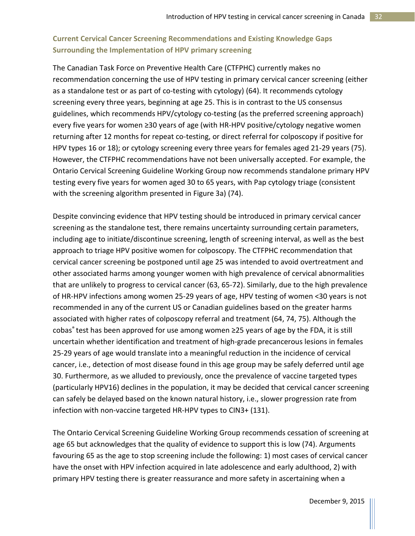# **Current Cervical Cancer Screening Recommendations and Existing Knowledge Gaps Surrounding the Implementation of HPV primary screening**

The Canadian Task Force on Preventive Health Care (CTFPHC) currently makes no recommendation concerning the use of HPV testing in primary cervical cancer screening (either as a standalone test or as part of co-testing with cytology) (64). It recommends cytology screening every three years, beginning at age 25. This is in contrast to the US consensus guidelines, which recommends HPV/cytology co-testing (as the preferred screening approach) every five years for women ≥30 years of age (with HR-HPV positive/cytology negative women returning after 12 months for repeat co-testing, or direct referral for colposcopy if positive for HPV types 16 or 18); or cytology screening every three years for females aged 21-29 years (75). However, the CTFPHC recommendations have not been universally accepted. For example, the Ontario Cervical Screening Guideline Working Group now recommends standalone primary HPV testing every five years for women aged 30 to 65 years, with Pap cytology triage (consistent with the screening algorithm presented in Figure 3a) (74).

Despite convincing evidence that HPV testing should be introduced in primary cervical cancer screening as the standalone test, there remains uncertainty surrounding certain parameters, including age to initiate/discontinue screening, length of screening interval, as well as the best approach to triage HPV positive women for colposcopy. The CTFPHC recommendation that cervical cancer screening be postponed until age 25 was intended to avoid overtreatment and other associated harms among younger women with high prevalence of cervical abnormalities that are unlikely to progress to cervical cancer (63, 65-72). Similarly, due to the high prevalence of HR-HPV infections among women 25-29 years of age, HPV testing of women <30 years is not recommended in any of the current US or Canadian guidelines based on the greater harms associated with higher rates of colposcopy referral and treatment (64, 74, 75). Although the cobas® test has been approved for use among women  $\geq$ 25 years of age by the FDA, it is still uncertain whether identification and treatment of high-grade precancerous lesions in females 25-29 years of age would translate into a meaningful reduction in the incidence of cervical cancer, i.e., detection of most disease found in this age group may be safely deferred until age 30. Furthermore, as we alluded to previously, once the prevalence of vaccine targeted types (particularly HPV16) declines in the population, it may be decided that cervical cancer screening can safely be delayed based on the known natural history, i.e., slower progression rate from infection with non-vaccine targeted HR-HPV types to CIN3+ (131).

The Ontario Cervical Screening Guideline Working Group recommends cessation of screening at age 65 but acknowledges that the quality of evidence to support this is low (74). Arguments favouring 65 as the age to stop screening include the following: 1) most cases of cervical cancer have the onset with HPV infection acquired in late adolescence and early adulthood, 2) with primary HPV testing there is greater reassurance and more safety in ascertaining when a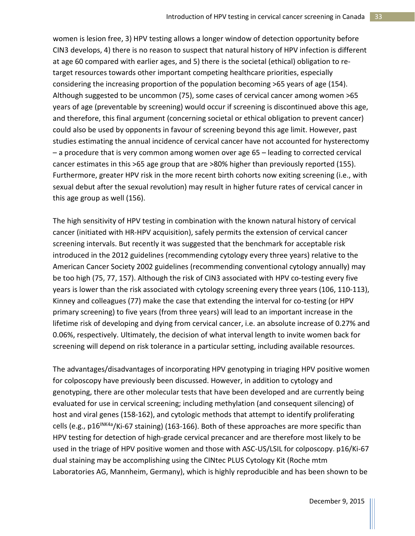women is lesion free, 3) HPV testing allows a longer window of detection opportunity before CIN3 develops, 4) there is no reason to suspect that natural history of HPV infection is different at age 60 compared with earlier ages, and 5) there is the societal (ethical) obligation to retarget resources towards other important competing healthcare priorities, especially considering the increasing proportion of the population becoming >65 years of age (154). Although suggested to be uncommon (75), some cases of cervical cancer among women >65 years of age (preventable by screening) would occur if screening is discontinued above this age, and therefore, this final argument (concerning societal or ethical obligation to prevent cancer) could also be used by opponents in favour of screening beyond this age limit. However, past studies estimating the annual incidence of cervical cancer have not accounted for hysterectomy – a procedure that is very common among women over age 65 – leading to corrected cervical cancer estimates in this >65 age group that are >80% higher than previously reported (155). Furthermore, greater HPV risk in the more recent birth cohorts now exiting screening (i.e., with sexual debut after the sexual revolution) may result in higher future rates of cervical cancer in this age group as well (156).

The high sensitivity of HPV testing in combination with the known natural history of cervical cancer (initiated with HR-HPV acquisition), safely permits the extension of cervical cancer screening intervals. But recently it was suggested that the benchmark for acceptable risk introduced in the 2012 guidelines (recommending cytology every three years) relative to the American Cancer Society 2002 guidelines (recommending conventional cytology annually) may be too high (75, 77, 157). Although the risk of CIN3 associated with HPV co-testing every five years is lower than the risk associated with cytology screening every three years (106, 110-113), Kinney and colleagues (77) make the case that extending the interval for co-testing (or HPV primary screening) to five years (from three years) will lead to an important increase in the lifetime risk of developing and dying from cervical cancer, i.e. an absolute increase of 0.27% and 0.06%, respectively. Ultimately, the decision of what interval length to invite women back for screening will depend on risk tolerance in a particular setting, including available resources.

The advantages/disadvantages of incorporating HPV genotyping in triaging HPV positive women for colposcopy have previously been discussed. However, in addition to cytology and genotyping, there are other molecular tests that have been developed and are currently being evaluated for use in cervical screening; including methylation (and consequent silencing) of host and viral genes (158-162), and cytologic methods that attempt to identify proliferating cells (e.g.,  $p16^{INKA}$ <sub>2</sub>/Ki-67 staining) (163-166). Both of these approaches are more specific than HPV testing for detection of high-grade cervical precancer and are therefore most likely to be used in the triage of HPV positive women and those with ASC-US/LSIL for colposcopy. p16/Ki-67 dual staining may be accomplishing using the CINtec PLUS Cytology Kit (Roche mtm Laboratories AG, Mannheim, Germany), which is highly reproducible and has been shown to be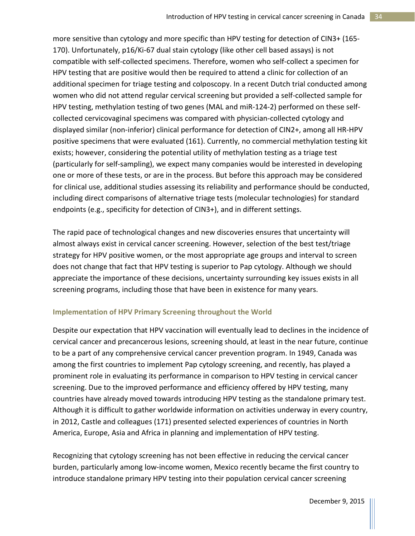more sensitive than cytology and more specific than HPV testing for detection of CIN3+ (165- 170). Unfortunately, p16/Ki-67 dual stain cytology (like other cell based assays) is not compatible with self-collected specimens. Therefore, women who self-collect a specimen for HPV testing that are positive would then be required to attend a clinic for collection of an additional specimen for triage testing and colposcopy. In a recent Dutch trial conducted among women who did not attend regular cervical screening but provided a self-collected sample for HPV testing, methylation testing of two genes (MAL and miR-124-2) performed on these selfcollected cervicovaginal specimens was compared with physician-collected cytology and displayed similar (non-inferior) clinical performance for detection of CIN2+, among all HR-HPV positive specimens that were evaluated (161). Currently, no commercial methylation testing kit exists; however, considering the potential utility of methylation testing as a triage test (particularly for self-sampling), we expect many companies would be interested in developing one or more of these tests, or are in the process. But before this approach may be considered for clinical use, additional studies assessing its reliability and performance should be conducted, including direct comparisons of alternative triage tests (molecular technologies) for standard endpoints (e.g., specificity for detection of CIN3+), and in different settings.

The rapid pace of technological changes and new discoveries ensures that uncertainty will almost always exist in cervical cancer screening. However, selection of the best test/triage strategy for HPV positive women, or the most appropriate age groups and interval to screen does not change that fact that HPV testing is superior to Pap cytology. Although we should appreciate the importance of these decisions, uncertainty surrounding key issues exists in all screening programs, including those that have been in existence for many years.

### **Implementation of HPV Primary Screening throughout the World**

Despite our expectation that HPV vaccination will eventually lead to declines in the incidence of cervical cancer and precancerous lesions, screening should, at least in the near future, continue to be a part of any comprehensive cervical cancer prevention program. In 1949, Canada was among the first countries to implement Pap cytology screening, and recently, has played a prominent role in evaluating its performance in comparison to HPV testing in cervical cancer screening. Due to the improved performance and efficiency offered by HPV testing, many countries have already moved towards introducing HPV testing as the standalone primary test. Although it is difficult to gather worldwide information on activities underway in every country, in 2012, Castle and colleagues (171) presented selected experiences of countries in North America, Europe, Asia and Africa in planning and implementation of HPV testing.

Recognizing that cytology screening has not been effective in reducing the cervical cancer burden, particularly among low-income women, Mexico recently became the first country to introduce standalone primary HPV testing into their population cervical cancer screening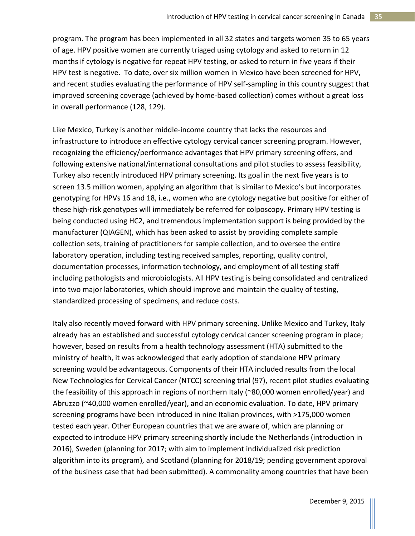program. The program has been implemented in all 32 states and targets women 35 to 65 years of age. HPV positive women are currently triaged using cytology and asked to return in 12 months if cytology is negative for repeat HPV testing, or asked to return in five years if their HPV test is negative. To date, over six million women in Mexico have been screened for HPV, and recent studies evaluating the performance of HPV self-sampling in this country suggest that improved screening coverage (achieved by home-based collection) comes without a great loss in overall performance (128, 129).

Like Mexico, Turkey is another middle-income country that lacks the resources and infrastructure to introduce an effective cytology cervical cancer screening program. However, recognizing the efficiency/performance advantages that HPV primary screening offers, and following extensive national/international consultations and pilot studies to assess feasibility, Turkey also recently introduced HPV primary screening. Its goal in the next five years is to screen 13.5 million women, applying an algorithm that is similar to Mexico's but incorporates genotyping for HPVs 16 and 18, i.e., women who are cytology negative but positive for either of these high-risk genotypes will immediately be referred for colposcopy. Primary HPV testing is being conducted using HC2, and tremendous implementation support is being provided by the manufacturer (QIAGEN), which has been asked to assist by providing complete sample collection sets, training of practitioners for sample collection, and to oversee the entire laboratory operation, including testing received samples, reporting, quality control, documentation processes, information technology, and employment of all testing staff including pathologists and microbiologists. All HPV testing is being consolidated and centralized into two major laboratories, which should improve and maintain the quality of testing, standardized processing of specimens, and reduce costs.

Italy also recently moved forward with HPV primary screening. Unlike Mexico and Turkey, Italy already has an established and successful cytology cervical cancer screening program in place; however, based on results from a health technology assessment (HTA) submitted to the ministry of health, it was acknowledged that early adoption of standalone HPV primary screening would be advantageous. Components of their HTA included results from the local New Technologies for Cervical Cancer (NTCC) screening trial (97), recent pilot studies evaluating the feasibility of this approach in regions of northern Italy (~80,000 women enrolled/year) and Abruzzo (~40,000 women enrolled/year), and an economic evaluation. To date, HPV primary screening programs have been introduced in nine Italian provinces, with >175,000 women tested each year. Other European countries that we are aware of, which are planning or expected to introduce HPV primary screening shortly include the Netherlands (introduction in 2016), Sweden (planning for 2017; with aim to implement individualized risk prediction algorithm into its program), and Scotland (planning for 2018/19; pending government approval of the business case that had been submitted). A commonality among countries that have been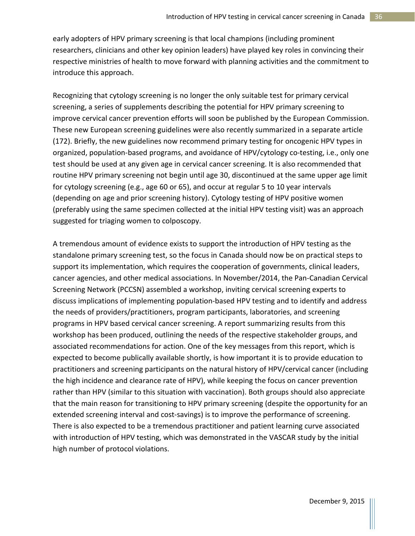early adopters of HPV primary screening is that local champions (including prominent researchers, clinicians and other key opinion leaders) have played key roles in convincing their respective ministries of health to move forward with planning activities and the commitment to introduce this approach.

Recognizing that cytology screening is no longer the only suitable test for primary cervical screening, a series of supplements describing the potential for HPV primary screening to improve cervical cancer prevention efforts will soon be published by the European Commission. These new European screening guidelines were also recently summarized in a separate article (172). Briefly, the new guidelines now recommend primary testing for oncogenic HPV types in organized, population-based programs, and avoidance of HPV/cytology co-testing, i.e., only one test should be used at any given age in cervical cancer screening. It is also recommended that routine HPV primary screening not begin until age 30, discontinued at the same upper age limit for cytology screening (e.g., age 60 or 65), and occur at regular 5 to 10 year intervals (depending on age and prior screening history). Cytology testing of HPV positive women (preferably using the same specimen collected at the initial HPV testing visit) was an approach suggested for triaging women to colposcopy.

A tremendous amount of evidence exists to support the introduction of HPV testing as the standalone primary screening test, so the focus in Canada should now be on practical steps to support its implementation, which requires the cooperation of governments, clinical leaders, cancer agencies, and other medical associations. In November/2014, the Pan-Canadian Cervical Screening Network (PCCSN) assembled a workshop, inviting cervical screening experts to discuss implications of implementing population-based HPV testing and to identify and address the needs of providers/practitioners, program participants, laboratories, and screening programs in HPV based cervical cancer screening. A report summarizing results from this workshop has been produced, outlining the needs of the respective stakeholder groups, and associated recommendations for action. One of the key messages from this report, which is expected to become publically available shortly, is how important it is to provide education to practitioners and screening participants on the natural history of HPV/cervical cancer (including the high incidence and clearance rate of HPV), while keeping the focus on cancer prevention rather than HPV (similar to this situation with vaccination). Both groups should also appreciate that the main reason for transitioning to HPV primary screening (despite the opportunity for an extended screening interval and cost-savings) is to improve the performance of screening. There is also expected to be a tremendous practitioner and patient learning curve associated with introduction of HPV testing, which was demonstrated in the VASCAR study by the initial high number of protocol violations.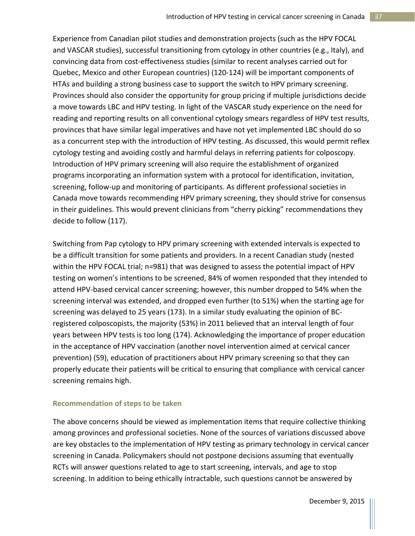Experience from Canadian pilot studies and demonstration projects (such as the HPV FOCAL and VASCAR studies), successful transitioning from cytology in other countries (e.g., Italy), and convincing data from cost-effectiveness studies (similar to recent analyses carried out for Quebec, Mexico and other European countries) (120-124) will be important components of HTAs and building a strong business case to support the switch to HPV primary screening. Provinces should also consider the opportunity for group pricing if multiple jurisdictions decide a move towards LBC and HPV testing. In light of the VASCAR study experience on the need for reading and reporting results on all conventional cytology smears regardless of HPV test results, provinces that have similar legal imperatives and have not yet implemented LBC should do so as a concurrent step with the introduction of HPV testing. As discussed, this would permit reflex cytology testing and avoiding costly and harmful delays in referring patients for colposcopy. Introduction of HPV primary screening will also require the establishment of organized programs incorporating an information system with a protocol for identification, invitation, screening, follow-up and monitoring of participants. As different professional societies in Canada move towards recommending HPV primary screening, they should strive for consensus in their guidelines. This would prevent clinicians from "cherry picking" recommendations they decide to follow (117).

Switching from Pap cytology to HPV primary screening with extended intervals is expected to be a difficult transition for some patients and providers. In a recent Canadian study (nested within the HPV FOCAL trial; n=981) that was designed to assess the potential impact of HPV testing on women's intentions to be screened, 84% of women responded that they intended to attend HPV-based cervical cancer screening; however, this number dropped to 54% when the screening interval was extended, and dropped even further (to 51%) when the starting age for screening was delayed to 25 years (173). In a similar study evaluating the opinion of BCregistered colposcopists, the majority (53%) in 2011 believed that an interval length of four years between HPV tests is too long (174). Acknowledging the importance of proper education in the acceptance of HPV vaccination (another novel intervention aimed at cervical cancer prevention) (59), education of practitioners about HPV primary screening so that they can properly educate their patients will be critical to ensuring that compliance with cervical cancer screening remains high.

### **Recommendation of steps to be taken**

The above concerns should be viewed as implementation items that require collective thinking among provinces and professional societies. None of the sources of variations discussed above are key obstacles to the implementation of HPV testing as primary technology in cervical cancer screening in Canada. Policymakers should not postpone decisions assuming that eventually RCTs will answer questions related to age to start screening, intervals, and age to stop screening. In addition to being ethically intractable, such questions cannot be answered by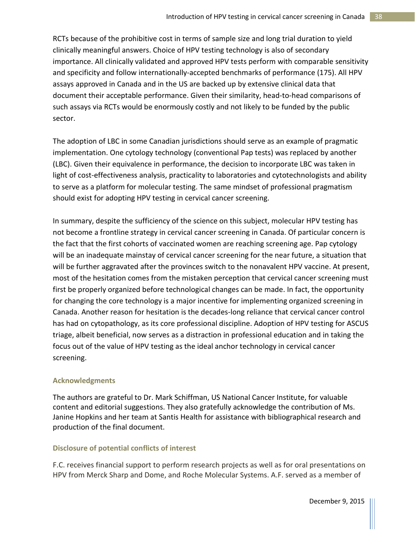RCTs because of the prohibitive cost in terms of sample size and long trial duration to yield clinically meaningful answers. Choice of HPV testing technology is also of secondary importance. All clinically validated and approved HPV tests perform with comparable sensitivity and specificity and follow internationally-accepted benchmarks of performance (175). All HPV assays approved in Canada and in the US are backed up by extensive clinical data that document their acceptable performance. Given their similarity, head-to-head comparisons of such assays via RCTs would be enormously costly and not likely to be funded by the public sector.

The adoption of LBC in some Canadian jurisdictions should serve as an example of pragmatic implementation. One cytology technology (conventional Pap tests) was replaced by another (LBC). Given their equivalence in performance, the decision to incorporate LBC was taken in light of cost-effectiveness analysis, practicality to laboratories and cytotechnologists and ability to serve as a platform for molecular testing. The same mindset of professional pragmatism should exist for adopting HPV testing in cervical cancer screening.

In summary, despite the sufficiency of the science on this subject, molecular HPV testing has not become a frontline strategy in cervical cancer screening in Canada. Of particular concern is the fact that the first cohorts of vaccinated women are reaching screening age. Pap cytology will be an inadequate mainstay of cervical cancer screening for the near future, a situation that will be further aggravated after the provinces switch to the nonavalent HPV vaccine. At present, most of the hesitation comes from the mistaken perception that cervical cancer screening must first be properly organized before technological changes can be made. In fact, the opportunity for changing the core technology is a major incentive for implementing organized screening in Canada. Another reason for hesitation is the decades-long reliance that cervical cancer control has had on cytopathology, as its core professional discipline. Adoption of HPV testing for ASCUS triage, albeit beneficial, now serves as a distraction in professional education and in taking the focus out of the value of HPV testing as the ideal anchor technology in cervical cancer screening.

### **Acknowledgments**

The authors are grateful to Dr. Mark Schiffman, US National Cancer Institute, for valuable content and editorial suggestions. They also gratefully acknowledge the contribution of Ms. Janine Hopkins and her team at Santis Health for assistance with bibliographical research and production of the final document.

## **Disclosure of potential conflicts of interest**

F.C. receives financial support to perform research projects as well as for oral presentations on HPV from Merck Sharp and Dome, and Roche Molecular Systems. A.F. served as a member of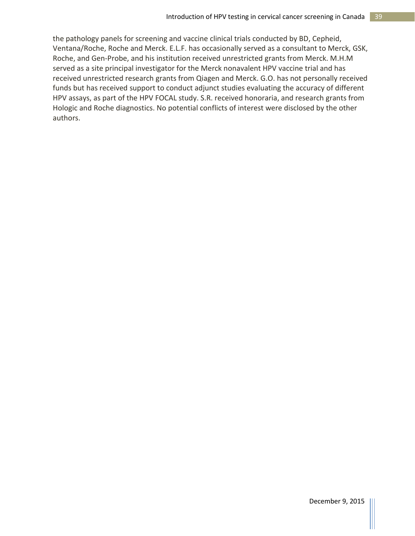the pathology panels for screening and vaccine clinical trials conducted by BD, Cepheid, Ventana/Roche, Roche and Merck. E.L.F. has occasionally served as a consultant to Merck, GSK, Roche, and Gen-Probe, and his institution received unrestricted grants from Merck. M.H.M served as a site principal investigator for the Merck nonavalent HPV vaccine trial and has received unrestricted research grants from Qiagen and Merck. G.O. has not personally received funds but has received support to conduct adjunct studies evaluating the accuracy of different HPV assays, as part of the HPV FOCAL study. S.R. received honoraria, and research grants from Hologic and Roche diagnostics. No potential conflicts of interest were disclosed by the other authors.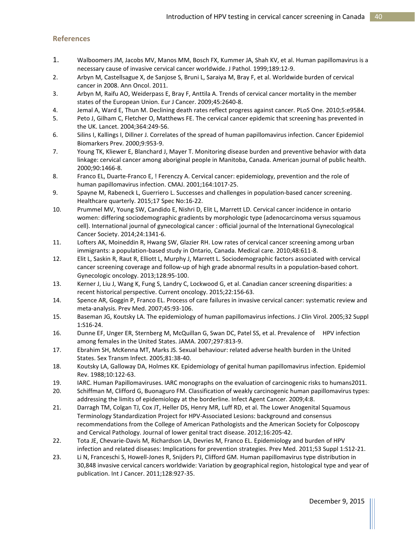#### **References**

- 1. Walboomers JM, Jacobs MV, Manos MM, Bosch FX, Kummer JA, Shah KV, et al. Human papillomavirus is a necessary cause of invasive cervical cancer worldwide. J Pathol. 1999;189:12-9.
- 2. Arbyn M, Castellsague X, de Sanjose S, Bruni L, Saraiya M, Bray F, et al. Worldwide burden of cervical cancer in 2008. Ann Oncol. 2011.
- 3. Arbyn M, Raifu AO, Weiderpass E, Bray F, Anttila A. Trends of cervical cancer mortality in the member states of the European Union. Eur J Cancer. 2009;45:2640-8.
- 4. Jemal A, Ward E, Thun M. Declining death rates reflect progress against cancer. PLoS One. 2010;5:e9584.
- 5. Peto J, Gilham C, Fletcher O, Matthews FE. The cervical cancer epidemic that screening has prevented in the UK. Lancet. 2004;364:249-56.
- 6. Silins I, Kallings I, Dillner J. Correlates of the spread of human papillomavirus infection. Cancer Epidemiol Biomarkers Prev. 2000;9:953-9.
- 7. Young TK, Kliewer E, Blanchard J, Mayer T. Monitoring disease burden and preventive behavior with data linkage: cervical cancer among aboriginal people in Manitoba, Canada. American journal of public health. 2000;90:1466-8.
- 8. Franco EL, Duarte-Franco E, ! Ferenczy A. Cervical cancer: epidemiology, prevention and the role of human papillomavirus infection. CMAJ. 2001;164:1017-25.
- 9. Spayne M, Rabeneck L, Guerriero L. Successes and challenges in population-based cancer screening. Healthcare quarterly. 2015;17 Spec No:16-22.
- 10. Prummel MV, Young SW, Candido E, Nishri D, Elit L, Marrett LD. Cervical cancer incidence in ontario women: differing sociodemographic gradients by morphologic type (adenocarcinoma versus squamous cell). International journal of gynecological cancer : official journal of the International Gynecological Cancer Society. 2014;24:1341-6.
- 11. Lofters AK, Moineddin R, Hwang SW, Glazier RH. Low rates of cervical cancer screening among urban immigrants: a population-based study in Ontario, Canada. Medical care. 2010;48:611-8.
- 12. Elit L, Saskin R, Raut R, Elliott L, Murphy J, Marrett L. Sociodemographic factors associated with cervical cancer screening coverage and follow-up of high grade abnormal results in a population-based cohort. Gynecologic oncology. 2013;128:95-100.
- 13. Kerner J, Liu J, Wang K, Fung S, Landry C, Lockwood G, et al. Canadian cancer screening disparities: a recent historical perspective. Current oncology. 2015;22:156-63.
- 14. Spence AR, Goggin P, Franco EL. Process of care failures in invasive cervical cancer: systematic review and meta-analysis. Prev Med. 2007;45:93-106.
- 15. Baseman JG, Koutsky LA. The epidemiology of human papillomavirus infections. J Clin Virol. 2005;32 Suppl 1:S16-24.
- 16. Dunne EF, Unger ER, Sternberg M, McQuillan G, Swan DC, Patel SS, et al. Prevalence of HPV infection among females in the United States. JAMA. 2007;297:813-9.
- 17. Ebrahim SH, McKenna MT, Marks JS. Sexual behaviour: related adverse health burden in the United States. Sex Transm Infect. 2005;81:38-40.
- 18. Koutsky LA, Galloway DA, Holmes KK. Epidemiology of genital human papillomavirus infection. Epidemiol Rev. 1988;10:122-63.
- 19. IARC. Human Papillomaviruses. IARC monographs on the evaluation of carcinogenic risks to humans2011.
- 20. Schiffman M, Clifford G, Buonaguro FM. Classification of weakly carcinogenic human papillomavirus types: addressing the limits of epidemiology at the borderline. Infect Agent Cancer. 2009;4:8.
- 21. Darragh TM, Colgan TJ, Cox JT, Heller DS, Henry MR, Luff RD, et al. The Lower Anogenital Squamous Terminology Standardization Project for HPV-Associated Lesions: background and consensus recommendations from the College of American Pathologists and the American Society for Colposcopy and Cervical Pathology. Journal of lower genital tract disease. 2012;16:205-42.
- 22. Tota JE, Chevarie-Davis M, Richardson LA, Devries M, Franco EL. Epidemiology and burden of HPV infection and related diseases: Implications for prevention strategies. Prev Med. 2011;53 Suppl 1:S12-21.
- 23. Li N, Franceschi S, Howell-Jones R, Snijders PJ, Clifford GM. Human papillomavirus type distribution in 30,848 invasive cervical cancers worldwide: Variation by geographical region, histological type and year of publication. Int J Cancer. 2011;128:927-35.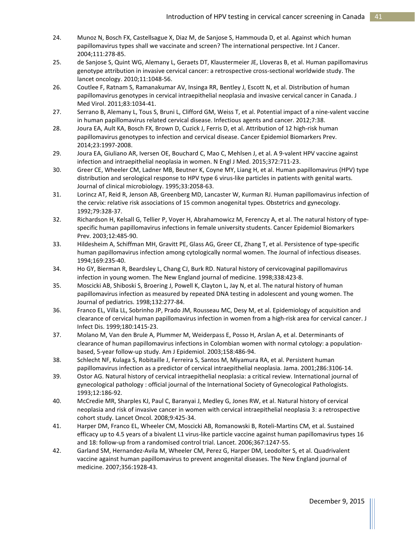- 24. Munoz N, Bosch FX, Castellsague X, Diaz M, de Sanjose S, Hammouda D, et al. Against which human papillomavirus types shall we vaccinate and screen? The international perspective. Int J Cancer. 2004;111:278-85.
- 25. de Sanjose S, Quint WG, Alemany L, Geraets DT, Klaustermeier JE, Lloveras B, et al. Human papillomavirus genotype attribution in invasive cervical cancer: a retrospective cross-sectional worldwide study. The lancet oncology. 2010;11:1048-56.
- 26. Coutlee F, Ratnam S, Ramanakumar AV, Insinga RR, Bentley J, Escott N, et al. Distribution of human papillomavirus genotypes in cervical intraepithelial neoplasia and invasive cervical cancer in Canada. J Med Virol. 2011;83:1034-41.
- 27. Serrano B, Alemany L, Tous S, Bruni L, Clifford GM, Weiss T, et al. Potential impact of a nine-valent vaccine in human papillomavirus related cervical disease. Infectious agents and cancer. 2012;7:38.
- 28. Joura EA, Ault KA, Bosch FX, Brown D, Cuzick J, Ferris D, et al. Attribution of 12 high-risk human papillomavirus genotypes to infection and cervical disease. Cancer Epidemiol Biomarkers Prev. 2014;23:1997-2008.
- 29. Joura EA, Giuliano AR, Iversen OE, Bouchard C, Mao C, Mehlsen J, et al. A 9-valent HPV vaccine against infection and intraepithelial neoplasia in women. N Engl J Med. 2015;372:711-23.
- 30. Greer CE, Wheeler CM, Ladner MB, Beutner K, Coyne MY, Liang H, et al. Human papillomavirus (HPV) type distribution and serological response to HPV type 6 virus-like particles in patients with genital warts. Journal of clinical microbiology. 1995;33:2058-63.
- 31. Lorincz AT, Reid R, Jenson AB, Greenberg MD, Lancaster W, Kurman RJ. Human papillomavirus infection of the cervix: relative risk associations of 15 common anogenital types. Obstetrics and gynecology. 1992;79:328-37.
- 32. Richardson H, Kelsall G, Tellier P, Voyer H, Abrahamowicz M, Ferenczy A, et al. The natural history of typespecific human papillomavirus infections in female university students. Cancer Epidemiol Biomarkers Prev. 2003;12:485-90.
- 33. Hildesheim A, Schiffman MH, Gravitt PE, Glass AG, Greer CE, Zhang T, et al. Persistence of type-specific human papillomavirus infection among cytologically normal women. The Journal of infectious diseases. 1994;169:235-40.
- 34. Ho GY, Bierman R, Beardsley L, Chang CJ, Burk RD. Natural history of cervicovaginal papillomavirus infection in young women. The New England journal of medicine. 1998;338:423-8.
- 35. Moscicki AB, Shiboski S, Broering J, Powell K, Clayton L, Jay N, et al. The natural history of human papillomavirus infection as measured by repeated DNA testing in adolescent and young women. The Journal of pediatrics. 1998;132:277-84.
- 36. Franco EL, Villa LL, Sobrinho JP, Prado JM, Rousseau MC, Desy M, et al. Epidemiology of acquisition and clearance of cervical human papillomavirus infection in women from a high-risk area for cervical cancer. J Infect Dis. 1999;180:1415-23.
- 37. Molano M, Van den Brule A, Plummer M, Weiderpass E, Posso H, Arslan A, et al. Determinants of clearance of human papillomavirus infections in Colombian women with normal cytology: a populationbased, 5-year follow-up study. Am J Epidemiol. 2003;158:486-94.
- 38. Schlecht NF, Kulaga S, Robitaille J, Ferreira S, Santos M, Miyamura RA, et al. Persistent human papillomavirus infection as a predictor of cervical intraepithelial neoplasia. Jama. 2001;286:3106-14.
- 39. Ostor AG. Natural history of cervical intraepithelial neoplasia: a critical review. International journal of gynecological pathology : official journal of the International Society of Gynecological Pathologists. 1993;12:186-92.
- 40. McCredie MR, Sharples KJ, Paul C, Baranyai J, Medley G, Jones RW, et al. Natural history of cervical neoplasia and risk of invasive cancer in women with cervical intraepithelial neoplasia 3: a retrospective cohort study. Lancet Oncol. 2008;9:425-34.
- 41. Harper DM, Franco EL, Wheeler CM, Moscicki AB, Romanowski B, Roteli-Martins CM, et al. Sustained efficacy up to 4.5 years of a bivalent L1 virus-like particle vaccine against human papillomavirus types 16 and 18: follow-up from a randomised control trial. Lancet. 2006;367:1247-55.
- 42. Garland SM, Hernandez-Avila M, Wheeler CM, Perez G, Harper DM, Leodolter S, et al. Quadrivalent vaccine against human papillomavirus to prevent anogenital diseases. The New England journal of medicine. 2007;356:1928-43.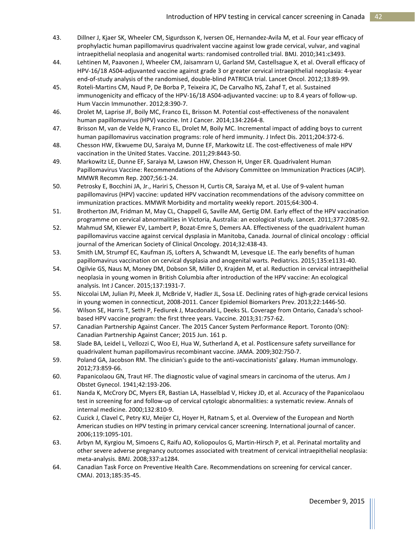- 43. Dillner J, Kjaer SK, Wheeler CM, Sigurdsson K, Iversen OE, Hernandez-Avila M, et al. Four year efficacy of prophylactic human papillomavirus quadrivalent vaccine against low grade cervical, vulvar, and vaginal intraepithelial neoplasia and anogenital warts: randomised controlled trial. BMJ. 2010;341:c3493.
- 44. Lehtinen M, Paavonen J, Wheeler CM, Jaisamrarn U, Garland SM, Castellsague X, et al. Overall efficacy of HPV-16/18 AS04-adjuvanted vaccine against grade 3 or greater cervical intraepithelial neoplasia: 4-year end-of-study analysis of the randomised, double-blind PATRICIA trial. Lancet Oncol. 2012;13:89-99.
- 45. Roteli-Martins CM, Naud P, De Borba P, Teixeira JC, De Carvalho NS, Zahaf T, et al. Sustained immunogenicity and efficacy of the HPV-16/18 AS04-adjuvanted vaccine: up to 8.4 years of follow-up. Hum Vaccin Immunother. 2012;8:390-7.
- 46. Drolet M, Laprise JF, Boily MC, Franco EL, Brisson M. Potential cost-effectiveness of the nonavalent human papillomavirus (HPV) vaccine. Int J Cancer. 2014;134:2264-8.
- 47. Brisson M, van de Velde N, Franco EL, Drolet M, Boily MC. Incremental impact of adding boys to current human papillomavirus vaccination programs: role of herd immunity. J Infect Dis. 2011;204:372-6.
- 48. Chesson HW, Ekwueme DU, Saraiya M, Dunne EF, Markowitz LE. The cost-effectiveness of male HPV vaccination in the United States. Vaccine. 2011;29:8443-50.
- 49. Markowitz LE, Dunne EF, Saraiya M, Lawson HW, Chesson H, Unger ER. Quadrivalent Human Papillomavirus Vaccine: Recommendations of the Advisory Committee on Immunization Practices (ACIP). MMWR Recomm Rep. 2007;56:1-24.
- 50. Petrosky E, Bocchini JA, Jr., Hariri S, Chesson H, Curtis CR, Saraiya M, et al. Use of 9-valent human papillomavirus (HPV) vaccine: updated HPV vaccination recommendations of the advisory committee on immunization practices. MMWR Morbidity and mortality weekly report. 2015;64:300-4.
- 51. Brotherton JM, Fridman M, May CL, Chappell G, Saville AM, Gertig DM. Early effect of the HPV vaccination programme on cervical abnormalities in Victoria, Australia: an ecological study. Lancet. 2011;377:2085-92.
- 52. Mahmud SM, Kliewer EV, Lambert P, Bozat-Emre S, Demers AA. Effectiveness of the quadrivalent human papillomavirus vaccine against cervical dysplasia in Manitoba, Canada. Journal of clinical oncology : official journal of the American Society of Clinical Oncology. 2014;32:438-43.
- 53. Smith LM, Strumpf EC, Kaufman JS, Lofters A, Schwandt M, Levesque LE. The early benefits of human papillomavirus vaccination on cervical dysplasia and anogenital warts. Pediatrics. 2015;135:e1131-40.
- 54. Ogilvie GS, Naus M, Money DM, Dobson SR, Miller D, Krajden M, et al. Reduction in cervical intraepithelial neoplasia in young women in British Columbia after introduction of the HPV vaccine: An ecological analysis. Int J Cancer. 2015;137:1931-7.
- 55. Niccolai LM, Julian PJ, Meek JI, McBride V, Hadler JL, Sosa LE. Declining rates of high-grade cervical lesions in young women in connecticut, 2008-2011. Cancer Epidemiol Biomarkers Prev. 2013;22:1446-50.
- 56. Wilson SE, Harris T, Sethi P, Fediurek J, Macdonald L, Deeks SL. Coverage from Ontario, Canada's schoolbased HPV vaccine program: the first three years. Vaccine. 2013;31:757-62.
- 57. Canadian Partnership Against Cancer. The 2015 Cancer System Performance Report. Toronto (ON): Canadian Partnership Against Cancer; 2015 Jun. 161 p.
- 58. Slade BA, Leidel L, Vellozzi C, Woo EJ, Hua W, Sutherland A, et al. Postlicensure safety surveillance for quadrivalent human papillomavirus recombinant vaccine. JAMA. 2009;302:750-7.
- 59. Poland GA, Jacobson RM. The clinician's guide to the anti-vaccinationists' galaxy. Human immunology. 2012;73:859-66.
- 60. Papanicolaou GN, Traut HF. The diagnostic value of vaginal smears in carcinoma of the uterus. Am J Obstet Gynecol. 1941;42:193-206.
- 61. Nanda K, McCrory DC, Myers ER, Bastian LA, Hasselblad V, Hickey JD, et al. Accuracy of the Papanicolaou test in screening for and follow-up of cervical cytologic abnormalities: a systematic review. Annals of internal medicine. 2000;132:810-9.
- 62. Cuzick J, Clavel C, Petry KU, Meijer CJ, Hoyer H, Ratnam S, et al. Overview of the European and North American studies on HPV testing in primary cervical cancer screening. International journal of cancer. 2006;119:1095-101.
- 63. Arbyn M, Kyrgiou M, Simoens C, Raifu AO, Koliopoulos G, Martin-Hirsch P, et al. Perinatal mortality and other severe adverse pregnancy outcomes associated with treatment of cervical intraepithelial neoplasia: meta-analysis. BMJ. 2008;337:a1284.
- 64. Canadian Task Force on Preventive Health Care. Recommendations on screening for cervical cancer. CMAJ. 2013;185:35-45.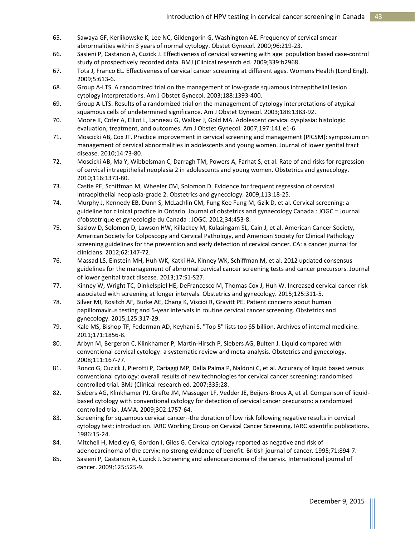- 65. Sawaya GF, Kerlikowske K, Lee NC, Gildengorin G, Washington AE. Frequency of cervical smear abnormalities within 3 years of normal cytology. Obstet Gynecol. 2000;96:219-23.
- 66. Sasieni P, Castanon A, Cuzick J. Effectiveness of cervical screening with age: population based case-control study of prospectively recorded data. BMJ (Clinical research ed. 2009;339:b2968.
- 67. Tota J, Franco EL. Effectiveness of cervical cancer screening at different ages. Womens Health (Lond Engl). 2009;5:613-6.
- 68. Group A-LTS. A randomized trial on the management of low-grade squamous intraepithelial lesion cytology interpretations. Am J Obstet Gynecol. 2003;188:1393-400.
- 69. Group A-LTS. Results of a randomized trial on the management of cytology interpretations of atypical squamous cells of undetermined significance. Am J Obstet Gynecol. 2003;188:1383-92.
- 70. Moore K, Cofer A, Elliot L, Lanneau G, Walker J, Gold MA. Adolescent cervical dysplasia: histologic evaluation, treatment, and outcomes. Am J Obstet Gynecol. 2007;197:141 e1-6.
- 71. Moscicki AB, Cox JT. Practice improvement in cervical screening and management (PICSM): symposium on management of cervical abnormalities in adolescents and young women. Journal of lower genital tract disease. 2010;14:73-80.
- 72. Moscicki AB, Ma Y, Wibbelsman C, Darragh TM, Powers A, Farhat S, et al. Rate of and risks for regression of cervical intraepithelial neoplasia 2 in adolescents and young women. Obstetrics and gynecology. 2010;116:1373-80.
- 73. Castle PE, Schiffman M, Wheeler CM, Solomon D. Evidence for frequent regression of cervical intraepithelial neoplasia-grade 2. Obstetrics and gynecology. 2009;113:18-25.
- 74. Murphy J, Kennedy EB, Dunn S, McLachlin CM, Fung Kee Fung M, Gzik D, et al. Cervical screening: a guideline for clinical practice in Ontario. Journal of obstetrics and gynaecology Canada : JOGC = Journal d'obstetrique et gynecologie du Canada : JOGC. 2012;34:453-8.
- 75. Saslow D, Solomon D, Lawson HW, Killackey M, Kulasingam SL, Cain J, et al. American Cancer Society, American Society for Colposcopy and Cervical Pathology, and American Society for Clinical Pathology screening guidelines for the prevention and early detection of cervical cancer. CA: a cancer journal for clinicians. 2012;62:147-72.
- 76. Massad LS, Einstein MH, Huh WK, Katki HA, Kinney WK, Schiffman M, et al. 2012 updated consensus guidelines for the management of abnormal cervical cancer screening tests and cancer precursors. Journal of lower genital tract disease. 2013;17:S1-S27.
- 77. Kinney W, Wright TC, Dinkelspiel HE, DeFrancesco M, Thomas Cox J, Huh W. Increased cervical cancer risk associated with screening at longer intervals. Obstetrics and gynecology. 2015;125:311-5.
- 78. Silver MI, Rositch AF, Burke AE, Chang K, Viscidi R, Gravitt PE. Patient concerns about human papillomavirus testing and 5-year intervals in routine cervical cancer screening. Obstetrics and gynecology. 2015;125:317-29.
- 79. Kale MS, Bishop TF, Federman AD, Keyhani S. "Top 5" lists top \$5 billion. Archives of internal medicine. 2011;171:1856-8.
- 80. Arbyn M, Bergeron C, Klinkhamer P, Martin-Hirsch P, Siebers AG, Bulten J. Liquid compared with conventional cervical cytology: a systematic review and meta-analysis. Obstetrics and gynecology. 2008;111:167-77.
- 81. Ronco G, Cuzick J, Pierotti P, Cariaggi MP, Dalla Palma P, Naldoni C, et al. Accuracy of liquid based versus conventional cytology: overall results of new technologies for cervical cancer screening: randomised controlled trial. BMJ (Clinical research ed. 2007;335:28.
- 82. Siebers AG, Klinkhamer PJ, Grefte JM, Massuger LF, Vedder JE, Beijers-Broos A, et al. Comparison of liquidbased cytology with conventional cytology for detection of cervical cancer precursors: a randomized controlled trial. JAMA. 2009;302:1757-64.
- 83. Screening for squamous cervical cancer--the duration of low risk following negative results in cervical cytology test: introduction. IARC Working Group on Cervical Cancer Screening. IARC scientific publications. 1986:15-24.
- 84. Mitchell H, Medley G, Gordon I, Giles G. Cervical cytology reported as negative and risk of adenocarcinoma of the cervix: no strong evidence of benefit. British journal of cancer. 1995;71:894-7.
- 85. Sasieni P, Castanon A, Cuzick J. Screening and adenocarcinoma of the cervix. International journal of cancer. 2009;125:525-9.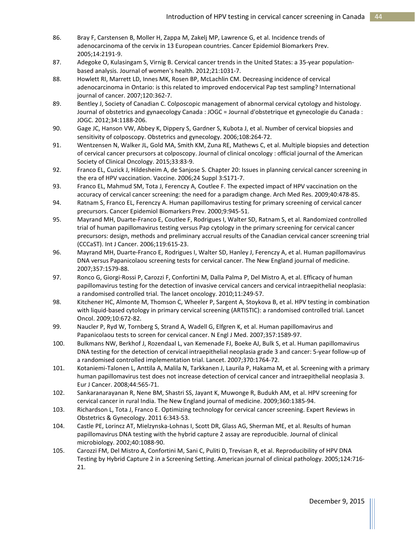- 86. Bray F, Carstensen B, Moller H, Zappa M, Zakelj MP, Lawrence G, et al. Incidence trends of adenocarcinoma of the cervix in 13 European countries. Cancer Epidemiol Biomarkers Prev. 2005;14:2191-9.
- 87. Adegoke O, Kulasingam S, Virnig B. Cervical cancer trends in the United States: a 35-year populationbased analysis. Journal of women's health. 2012;21:1031-7.
- 88. Howlett RI, Marrett LD, Innes MK, Rosen BP, McLachlin CM. Decreasing incidence of cervical adenocarcinoma in Ontario: is this related to improved endocervical Pap test sampling? International journal of cancer. 2007;120:362-7.
- 89. Bentley J, Society of Canadian C. Colposcopic management of abnormal cervical cytology and histology. Journal of obstetrics and gynaecology Canada : JOGC = Journal d'obstetrique et gynecologie du Canada : JOGC. 2012;34:1188-206.
- 90. Gage JC, Hanson VW, Abbey K, Dippery S, Gardner S, Kubota J, et al. Number of cervical biopsies and sensitivity of colposcopy. Obstetrics and gynecology. 2006;108:264-72.
- 91. Wentzensen N, Walker JL, Gold MA, Smith KM, Zuna RE, Mathews C, et al. Multiple biopsies and detection of cervical cancer precursors at colposcopy. Journal of clinical oncology : official journal of the American Society of Clinical Oncology. 2015;33:83-9.
- 92. Franco EL, Cuzick J, Hildesheim A, de Sanjose S. Chapter 20: Issues in planning cervical cancer screening in the era of HPV vaccination. Vaccine. 2006;24 Suppl 3:S171-7.
- 93. Franco EL, Mahmud SM, Tota J, Ferenczy A, Coutlee F. The expected impact of HPV vaccination on the accuracy of cervical cancer screening: the need for a paradigm change. Arch Med Res. 2009;40:478-85.
- 94. Ratnam S, Franco EL, Ferenczy A. Human papillomavirus testing for primary screening of cervical cancer precursors. Cancer Epidemiol Biomarkers Prev. 2000;9:945-51.
- 95. Mayrand MH, Duarte-Franco E, Coutlee F, Rodrigues I, Walter SD, Ratnam S, et al. Randomized controlled trial of human papillomavirus testing versus Pap cytology in the primary screening for cervical cancer precursors: design, methods and preliminary accrual results of the Canadian cervical cancer screening trial (CCCaST). Int J Cancer. 2006;119:615-23.
- 96. Mayrand MH, Duarte-Franco E, Rodrigues I, Walter SD, Hanley J, Ferenczy A, et al. Human papillomavirus DNA versus Papanicolaou screening tests for cervical cancer. The New England journal of medicine. 2007;357:1579-88.
- 97. Ronco G, Giorgi-Rossi P, Carozzi F, Confortini M, Dalla Palma P, Del Mistro A, et al. Efficacy of human papillomavirus testing for the detection of invasive cervical cancers and cervical intraepithelial neoplasia: a randomised controlled trial. The lancet oncology. 2010;11:249-57.
- 98. Kitchener HC, Almonte M, Thomson C, Wheeler P, Sargent A, Stoykova B, et al. HPV testing in combination with liquid-based cytology in primary cervical screening (ARTISTIC): a randomised controlled trial. Lancet Oncol. 2009;10:672-82.
- 99. Naucler P, Ryd W, Tornberg S, Strand A, Wadell G, Elfgren K, et al. Human papillomavirus and Papanicolaou tests to screen for cervical cancer. N Engl J Med. 2007;357:1589-97.
- 100. Bulkmans NW, Berkhof J, Rozendaal L, van Kemenade FJ, Boeke AJ, Bulk S, et al. Human papillomavirus DNA testing for the detection of cervical intraepithelial neoplasia grade 3 and cancer: 5-year follow-up of a randomised controlled implementation trial. Lancet. 2007;370:1764-72.
- 101. Kotaniemi-Talonen L, Anttila A, Malila N, Tarkkanen J, Laurila P, Hakama M, et al. Screening with a primary human papillomavirus test does not increase detection of cervical cancer and intraepithelial neoplasia 3. Eur J Cancer. 2008;44:565-71.
- 102. Sankaranarayanan R, Nene BM, Shastri SS, Jayant K, Muwonge R, Budukh AM, et al. HPV screening for cervical cancer in rural India. The New England journal of medicine. 2009;360:1385-94.
- 103. Richardson L, Tota J, Franco E. Optimizing technology for cervical cancer screening. Expert Reviews in Obstetrics & Gynecology. 2011 6:343-53.
- 104. Castle PE, Lorincz AT, Mielzynska-Lohnas I, Scott DR, Glass AG, Sherman ME, et al. Results of human papillomavirus DNA testing with the hybrid capture 2 assay are reproducible. Journal of clinical microbiology. 2002;40:1088-90.
- 105. Carozzi FM, Del Mistro A, Confortini M, Sani C, Puliti D, Trevisan R, et al. Reproducibility of HPV DNA Testing by Hybrid Capture 2 in a Screening Setting. American journal of clinical pathology. 2005;124:716- 21.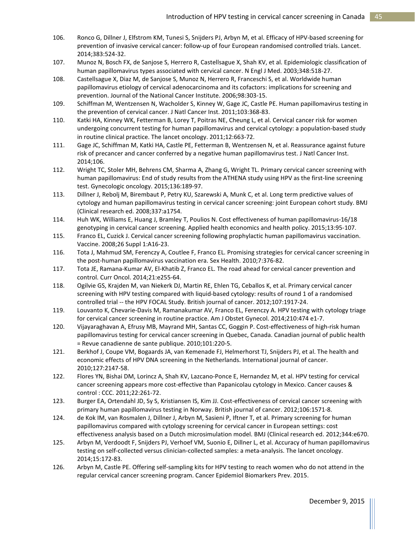- 106. Ronco G, Dillner J, Elfstrom KM, Tunesi S, Snijders PJ, Arbyn M, et al. Efficacy of HPV-based screening for prevention of invasive cervical cancer: follow-up of four European randomised controlled trials. Lancet. 2014;383:524-32.
- 107. Munoz N, Bosch FX, de Sanjose S, Herrero R, Castellsague X, Shah KV, et al. Epidemiologic classification of human papillomavirus types associated with cervical cancer. N Engl J Med. 2003;348:518-27.
- 108. Castellsague X, Diaz M, de Sanjose S, Munoz N, Herrero R, Franceschi S, et al. Worldwide human papillomavirus etiology of cervical adenocarcinoma and its cofactors: implications for screening and prevention. Journal of the National Cancer Institute. 2006;98:303-15.
- 109. Schiffman M, Wentzensen N, Wacholder S, Kinney W, Gage JC, Castle PE. Human papillomavirus testing in the prevention of cervical cancer. J Natl Cancer Inst. 2011;103:368-83.
- 110. Katki HA, Kinney WK, Fetterman B, Lorey T, Poitras NE, Cheung L, et al. Cervical cancer risk for women undergoing concurrent testing for human papillomavirus and cervical cytology: a population-based study in routine clinical practice. The lancet oncology. 2011;12:663-72.
- 111. Gage JC, Schiffman M, Katki HA, Castle PE, Fetterman B, Wentzensen N, et al. Reassurance against future risk of precancer and cancer conferred by a negative human papillomavirus test. J Natl Cancer Inst. 2014;106.
- 112. Wright TC, Stoler MH, Behrens CM, Sharma A, Zhang G, Wright TL. Primary cervical cancer screening with human papillomavirus: End of study results from the ATHENA study using HPV as the first-line screening test. Gynecologic oncology. 2015;136:189-97.
- 113. Dillner J, Rebolj M, Birembaut P, Petry KU, Szarewski A, Munk C, et al. Long term predictive values of cytology and human papillomavirus testing in cervical cancer screening: joint European cohort study. BMJ (Clinical research ed. 2008;337:a1754.
- 114. Huh WK, Williams E, Huang J, Bramley T, Poulios N. Cost effectiveness of human papillomavirus-16/18 genotyping in cervical cancer screening. Applied health economics and health policy. 2015;13:95-107.
- 115. Franco EL, Cuzick J. Cervical cancer screening following prophylactic human papillomavirus vaccination. Vaccine. 2008;26 Suppl 1:A16-23.
- 116. Tota J, Mahmud SM, Ferenczy A, Coutlee F, Franco EL. Promising strategies for cervical cancer screening in the post-human papillomavirus vaccination era. Sex Health. 2010;7:376-82.
- 117. Tota JE, Ramana-Kumar AV, El-Khatib Z, Franco EL. The road ahead for cervical cancer prevention and control. Curr Oncol. 2014;21:e255-64.
- 118. Ogilvie GS, Krajden M, van Niekerk DJ, Martin RE, Ehlen TG, Ceballos K, et al. Primary cervical cancer screening with HPV testing compared with liquid-based cytology: results of round 1 of a randomised controlled trial -- the HPV FOCAL Study. British journal of cancer. 2012;107:1917-24.
- 119. Louvanto K, Chevarie-Davis M, Ramanakumar AV, Franco EL, Ferenczy A. HPV testing with cytology triage for cervical cancer screening in routine practice. Am J Obstet Gynecol. 2014;210:474 e1-7.
- 120. Vijayaraghavan A, Efrusy MB, Mayrand MH, Santas CC, Goggin P. Cost-effectiveness of high-risk human papillomavirus testing for cervical cancer screening in Quebec, Canada. Canadian journal of public health = Revue canadienne de sante publique. 2010;101:220-5.
- 121. Berkhof J, Coupe VM, Bogaards JA, van Kemenade FJ, Helmerhorst TJ, Snijders PJ, et al. The health and economic effects of HPV DNA screening in the Netherlands. International journal of cancer. 2010;127:2147-58.
- 122. Flores YN, Bishai DM, Lorincz A, Shah KV, Lazcano-Ponce E, Hernandez M, et al. HPV testing for cervical cancer screening appears more cost-effective than Papanicolau cytology in Mexico. Cancer causes & control : CCC. 2011;22:261-72.
- 123. Burger EA, Ortendahl JD, Sy S, Kristiansen IS, Kim JJ. Cost-effectiveness of cervical cancer screening with primary human papillomavirus testing in Norway. British journal of cancer. 2012;106:1571-8.
- 124. de Kok IM, van Rosmalen J, Dillner J, Arbyn M, Sasieni P, Iftner T, et al. Primary screening for human papillomavirus compared with cytology screening for cervical cancer in European settings: cost effectiveness analysis based on a Dutch microsimulation model. BMJ (Clinical research ed. 2012;344:e670.
- 125. Arbyn M, Verdoodt F, Snijders PJ, Verhoef VM, Suonio E, Dillner L, et al. Accuracy of human papillomavirus testing on self-collected versus clinician-collected samples: a meta-analysis. The lancet oncology. 2014;15:172-83.
- 126. Arbyn M, Castle PE. Offering self-sampling kits for HPV testing to reach women who do not attend in the regular cervical cancer screening program. Cancer Epidemiol Biomarkers Prev. 2015.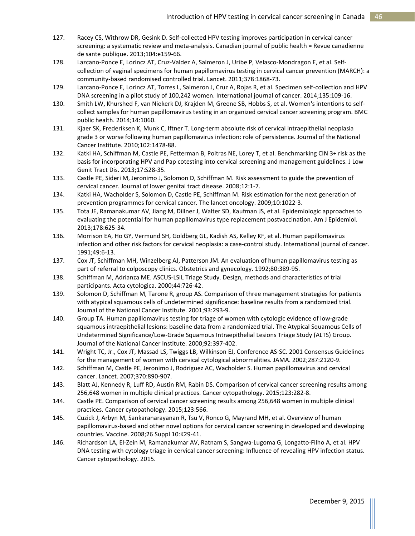- 127. Racey CS, Withrow DR, Gesink D. Self-collected HPV testing improves participation in cervical cancer screening: a systematic review and meta-analysis. Canadian journal of public health = Revue canadienne de sante publique. 2013;104:e159-66.
- 128. Lazcano-Ponce E, Lorincz AT, Cruz-Valdez A, Salmeron J, Uribe P, Velasco-Mondragon E, et al. Selfcollection of vaginal specimens for human papillomavirus testing in cervical cancer prevention (MARCH): a community-based randomised controlled trial. Lancet. 2011;378:1868-73.
- 129. Lazcano-Ponce E, Lorincz AT, Torres L, Salmeron J, Cruz A, Rojas R, et al. Specimen self-collection and HPV DNA screening in a pilot study of 100,242 women. International journal of cancer. 2014;135:109-16.
- 130. Smith LW, Khurshed F, van Niekerk DJ, Krajden M, Greene SB, Hobbs S, et al. Women's intentions to selfcollect samples for human papillomavirus testing in an organized cervical cancer screening program. BMC public health. 2014;14:1060.
- 131. Kjaer SK, Frederiksen K, Munk C, Iftner T. Long-term absolute risk of cervical intraepithelial neoplasia grade 3 or worse following human papillomavirus infection: role of persistence. Journal of the National Cancer Institute. 2010;102:1478-88.
- 132. Katki HA, Schiffman M, Castle PE, Fetterman B, Poitras NE, Lorey T, et al. Benchmarking CIN 3+ risk as the basis for incorporating HPV and Pap cotesting into cervical screening and management guidelines. J Low Genit Tract Dis. 2013;17:S28-35.
- 133. Castle PE, Sideri M, Jeronimo J, Solomon D, Schiffman M. Risk assessment to guide the prevention of cervical cancer. Journal of lower genital tract disease. 2008;12:1-7.
- 134. Katki HA, Wacholder S, Solomon D, Castle PE, Schiffman M. Risk estimation for the next generation of prevention programmes for cervical cancer. The lancet oncology. 2009;10:1022-3.
- 135. Tota JE, Ramanakumar AV, Jiang M, Dillner J, Walter SD, Kaufman JS, et al. Epidemiologic approaches to evaluating the potential for human papillomavirus type replacement postvaccination. Am J Epidemiol. 2013;178:625-34.
- 136. Morrison EA, Ho GY, Vermund SH, Goldberg GL, Kadish AS, Kelley KF, et al. Human papillomavirus infection and other risk factors for cervical neoplasia: a case-control study. International journal of cancer. 1991;49:6-13.
- 137. Cox JT, Schiffman MH, Winzelberg AJ, Patterson JM. An evaluation of human papillomavirus testing as part of referral to colposcopy clinics. Obstetrics and gynecology. 1992;80:389-95.
- 138. Schiffman M, Adrianza ME. ASCUS-LSIL Triage Study. Design, methods and characteristics of trial participants. Acta cytologica. 2000;44:726-42.
- 139. Solomon D, Schiffman M, Tarone R, group AS. Comparison of three management strategies for patients with atypical squamous cells of undetermined significance: baseline results from a randomized trial. Journal of the National Cancer Institute. 2001;93:293-9.
- 140. Group TA. Human papillomavirus testing for triage of women with cytologic evidence of low-grade squamous intraepithelial lesions: baseline data from a randomized trial. The Atypical Squamous Cells of Undetermined Significance/Low-Grade Squamous Intraepithelial Lesions Triage Study (ALTS) Group. Journal of the National Cancer Institute. 2000;92:397-402.
- 141. Wright TC, Jr., Cox JT, Massad LS, Twiggs LB, Wilkinson EJ, Conference AS-SC. 2001 Consensus Guidelines for the management of women with cervical cytological abnormalities. JAMA. 2002;287:2120-9.
- 142. Schiffman M, Castle PE, Jeronimo J, Rodriguez AC, Wacholder S. Human papillomavirus and cervical cancer. Lancet. 2007;370:890-907.
- 143. Blatt AJ, Kennedy R, Luff RD, Austin RM, Rabin DS. Comparison of cervical cancer screening results among 256,648 women in multiple clinical practices. Cancer cytopathology. 2015;123:282-8.
- 144. Castle PE. Comparison of cervical cancer screening results among 256,648 women in multiple clinical practices. Cancer cytopathology. 2015;123:566.
- 145. Cuzick J, Arbyn M, Sankaranarayanan R, Tsu V, Ronco G, Mayrand MH, et al. Overview of human papillomavirus-based and other novel options for cervical cancer screening in developed and developing countries. Vaccine. 2008;26 Suppl 10:K29-41.
- 146. Richardson LA, El-Zein M, Ramanakumar AV, Ratnam S, Sangwa-Lugoma G, Longatto-Filho A, et al. HPV DNA testing with cytology triage in cervical cancer screening: Influence of revealing HPV infection status. Cancer cytopathology. 2015.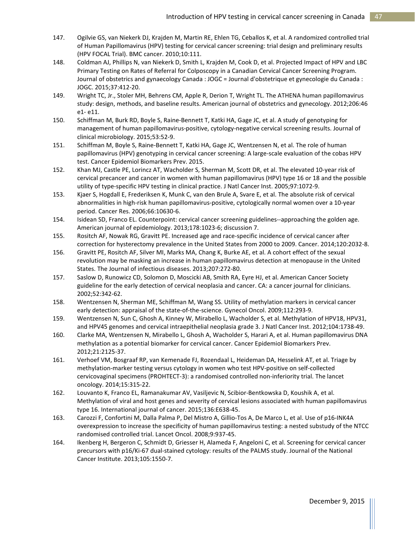- 147. Ogilvie GS, van Niekerk DJ, Krajden M, Martin RE, Ehlen TG, Ceballos K, et al. A randomized controlled trial of Human Papillomavirus (HPV) testing for cervical cancer screening: trial design and preliminary results (HPV FOCAL Trial). BMC cancer. 2010;10:111.
- 148. Coldman AJ, Phillips N, van Niekerk D, Smith L, Krajden M, Cook D, et al. Projected Impact of HPV and LBC Primary Testing on Rates of Referral for Colposcopy in a Canadian Cervical Cancer Screening Program. Journal of obstetrics and gynaecology Canada : JOGC = Journal d'obstetrique et gynecologie du Canada : JOGC. 2015;37:412-20.
- 149. Wright TC, Jr., Stoler MH, Behrens CM, Apple R, Derion T, Wright TL. The ATHENA human papillomavirus study: design, methods, and baseline results. American journal of obstetrics and gynecology. 2012;206:46 e1- e11.
- 150. Schiffman M, Burk RD, Boyle S, Raine-Bennett T, Katki HA, Gage JC, et al. A study of genotyping for management of human papillomavirus-positive, cytology-negative cervical screening results. Journal of clinical microbiology. 2015;53:52-9.
- 151. Schiffman M, Boyle S, Raine-Bennett T, Katki HA, Gage JC, Wentzensen N, et al. The role of human papillomavirus (HPV) genotyping in cervical cancer screening: A large-scale evaluation of the cobas HPV test. Cancer Epidemiol Biomarkers Prev. 2015.
- 152. Khan MJ, Castle PE, Lorincz AT, Wacholder S, Sherman M, Scott DR, et al. The elevated 10-year risk of cervical precancer and cancer in women with human papillomavirus (HPV) type 16 or 18 and the possible utility of type-specific HPV testing in clinical practice. J Natl Cancer Inst. 2005;97:1072-9.
- 153. Kjaer S, Hogdall E, Frederiksen K, Munk C, van den Brule A, Svare E, et al. The absolute risk of cervical abnormalities in high-risk human papillomavirus-positive, cytologically normal women over a 10-year period. Cancer Res. 2006;66:10630-6.
- 154. Isidean SD, Franco EL. Counterpoint: cervical cancer screening guidelines--approaching the golden age. American journal of epidemiology. 2013;178:1023-6; discussion 7.
- 155. Rositch AF, Nowak RG, Gravitt PE. Increased age and race-specific incidence of cervical cancer after correction for hysterectomy prevalence in the United States from 2000 to 2009. Cancer. 2014;120:2032-8.
- 156. Gravitt PE, Rositch AF, Silver MI, Marks MA, Chang K, Burke AE, et al. A cohort effect of the sexual revolution may be masking an increase in human papillomavirus detection at menopause in the United States. The Journal of infectious diseases. 2013;207:272-80.
- 157. Saslow D, Runowicz CD, Solomon D, Moscicki AB, Smith RA, Eyre HJ, et al. American Cancer Society guideline for the early detection of cervical neoplasia and cancer. CA: a cancer journal for clinicians. 2002;52:342-62.
- 158. Wentzensen N, Sherman ME, Schiffman M, Wang SS. Utility of methylation markers in cervical cancer early detection: appraisal of the state-of-the-science. Gynecol Oncol. 2009;112:293-9.
- 159. Wentzensen N, Sun C, Ghosh A, Kinney W, Mirabello L, Wacholder S, et al. Methylation of HPV18, HPV31, and HPV45 genomes and cervical intraepithelial neoplasia grade 3. J Natl Cancer Inst. 2012;104:1738-49.
- 160. Clarke MA, Wentzensen N, Mirabello L, Ghosh A, Wacholder S, Harari A, et al. Human papillomavirus DNA methylation as a potential biomarker for cervical cancer. Cancer Epidemiol Biomarkers Prev. 2012;21:2125-37.
- 161. Verhoef VM, Bosgraaf RP, van Kemenade FJ, Rozendaal L, Heideman DA, Hesselink AT, et al. Triage by methylation-marker testing versus cytology in women who test HPV-positive on self-collected cervicovaginal specimens (PROHTECT-3): a randomised controlled non-inferiority trial. The lancet oncology. 2014;15:315-22.
- 162. Louvanto K, Franco EL, Ramanakumar AV, Vasiljevic N, Scibior-Bentkowska D, Koushik A, et al. Methylation of viral and host genes and severity of cervical lesions associated with human papillomavirus type 16. International journal of cancer. 2015;136:E638-45.
- 163. Carozzi F, Confortini M, Dalla Palma P, Del Mistro A, Gillio-Tos A, De Marco L, et al. Use of p16-INK4A overexpression to increase the specificity of human papillomavirus testing: a nested substudy of the NTCC randomised controlled trial. Lancet Oncol. 2008;9:937-45.
- 164. Ikenberg H, Bergeron C, Schmidt D, Griesser H, Alameda F, Angeloni C, et al. Screening for cervical cancer precursors with p16/Ki-67 dual-stained cytology: results of the PALMS study. Journal of the National Cancer Institute. 2013;105:1550-7.